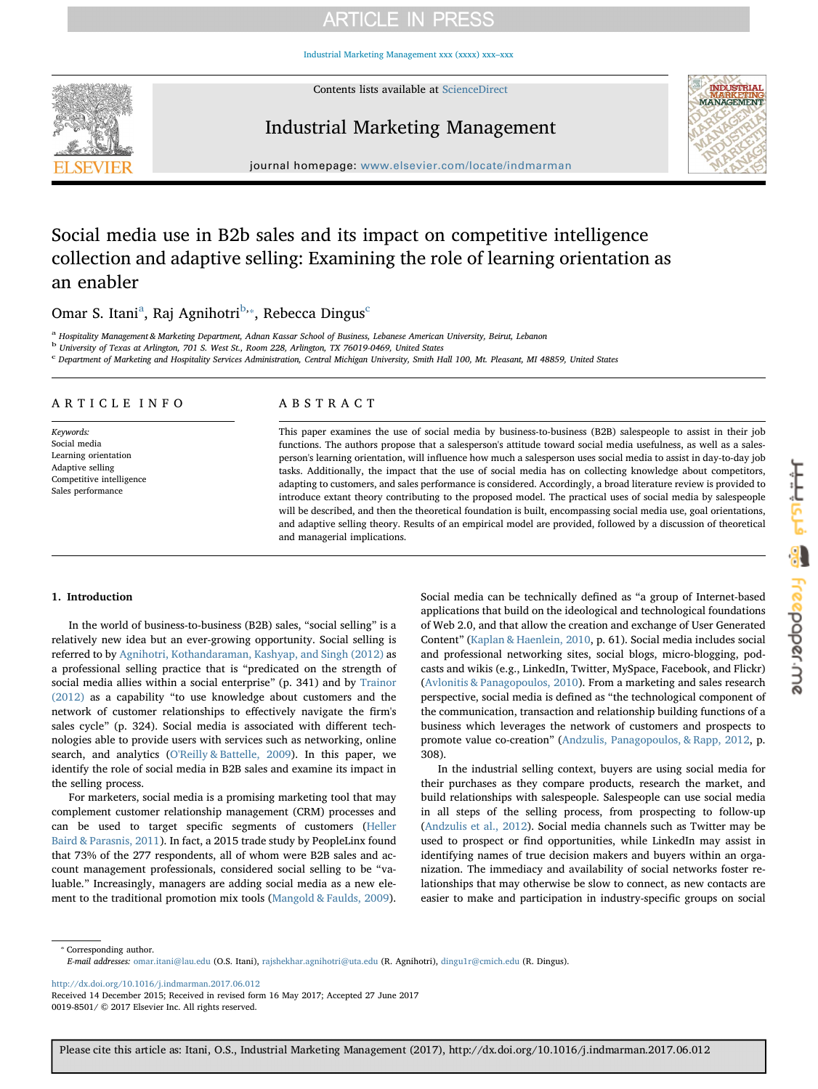[Industrial Marketing Management xxx \(xxxx\) xxx–xxx](http://dx.doi.org/10.1016/j.indmarman.2017.06.012)



Contents lists available at [ScienceDirect](http://www.sciencedirect.com/science/journal/00198501)

# Industrial Marketing Management



journal homepage: [www.elsevier.com/locate/indmarman](http://www.elsevier.com/locate/indmarman)

# Social media use in B2b sales and its impact on competitive intelligence collection and adaptive selling: Examining the role of learning orientation as an enabler

Om[a](#page-0-0)r S. Itani<sup>a</sup>, Raj Agnihotri<sup>[b](#page-0-1),</sup>\*, Rebe[c](#page-0-3)ca Dingus<sup>c</sup>

<span id="page-0-0"></span><sup>a</sup> Hospitality Management & Marketing Department, Adnan Kassar School of Business, Lebanese American University, Beirut, Lebanon

<span id="page-0-1"></span><sup>b</sup> University of Texas at Arlington, 701 S. West St., Room 228, Arlington, TX 76019-0469, United States

<span id="page-0-3"></span><sup>c</sup> Department of Marketing and Hospitality Services Administration, Central Michigan University, Smith Hall 100, Mt. Pleasant, MI 48859, United States

## ARTICLE INFO

Keywords: Social media Learning orientation Adaptive selling Competitive intelligence Sales performance

### ABSTRACT

This paper examines the use of social media by business-to-business (B2B) salespeople to assist in their job functions. The authors propose that a salesperson's attitude toward social media usefulness, as well as a salesperson's learning orientation, will influence how much a salesperson uses social media to assist in day-to-day job tasks. Additionally, the impact that the use of social media has on collecting knowledge about competitors, adapting to customers, and sales performance is considered. Accordingly, a broad literature review is provided to introduce extant theory contributing to the proposed model. The practical uses of social media by salespeople will be described, and then the theoretical foundation is built, encompassing social media use, goal orientations, and adaptive selling theory. Results of an empirical model are provided, followed by a discussion of theoretical and managerial implications.

# 1. Introduction

In the world of business-to-business (B2B) sales, "social selling" is a relatively new idea but an ever-growing opportunity. Social selling is referred to by [Agnihotri, Kothandaraman, Kashyap, and Singh \(2012\)](#page-13-0) as a professional selling practice that is "predicated on the strength of social media allies within a social enterprise" (p. 341) and by [Trainor](#page-15-0) [\(2012\)](#page-15-0) as a capability "to use knowledge about customers and the network of customer relationships to effectively navigate the firm's sales cycle" (p. 324). Social media is associated with different technologies able to provide users with services such as networking, online search, and analytics ([O'Reilly & Battelle, 2009](#page-14-0)). In this paper, we identify the role of social media in B2B sales and examine its impact in the selling process.

For marketers, social media is a promising marketing tool that may complement customer relationship management (CRM) processes and can be used to target specific segments of customers [\(Heller](#page-14-1) [Baird & Parasnis, 2011](#page-14-1)). In fact, a 2015 trade study by PeopleLinx found that 73% of the 277 respondents, all of whom were B2B sales and account management professionals, considered social selling to be "valuable." Increasingly, managers are adding social media as a new element to the traditional promotion mix tools [\(Mangold & Faulds, 2009](#page-14-2)).

Social media can be technically defined as "a group of Internet-based applications that build on the ideological and technological foundations of Web 2.0, and that allow the creation and exchange of User Generated Content" ([Kaplan & Haenlein, 2010](#page-14-3), p. 61). Social media includes social and professional networking sites, social blogs, micro-blogging, podcasts and wikis (e.g., LinkedIn, Twitter, MySpace, Facebook, and Flickr) ([Avlonitis & Panagopoulos, 2010](#page-13-1)). From a marketing and sales research perspective, social media is defined as "the technological component of the communication, transaction and relationship building functions of a business which leverages the network of customers and prospects to promote value co-creation" [\(Andzulis, Panagopoulos, & Rapp, 2012](#page-13-2), p. 308).

In the industrial selling context, buyers are using social media for their purchases as they compare products, research the market, and build relationships with salespeople. Salespeople can use social media in all steps of the selling process, from prospecting to follow-up ([Andzulis et al., 2012\)](#page-13-2). Social media channels such as Twitter may be used to prospect or find opportunities, while LinkedIn may assist in identifying names of true decision makers and buyers within an organization. The immediacy and availability of social networks foster relationships that may otherwise be slow to connect, as new contacts are easier to make and participation in industry-specific groups on social

<span id="page-0-2"></span>⁎ Corresponding author.

E-mail addresses: [omar.itani@lau.edu](mailto:omar.itani@lau.edu) (O.S. Itani), [rajshekhar.agnihotri@uta.edu](mailto:rajshekhar.agnihotri@uta.edu) (R. Agnihotri), [dingu1r@cmich.edu](mailto:dingu1r@cmich.edu) (R. Dingus).

<http://dx.doi.org/10.1016/j.indmarman.2017.06.012>

Received 14 December 2015; Received in revised form 16 May 2017; Accepted 27 June 2017 0019-8501/ © 2017 Elsevier Inc. All rights reserved.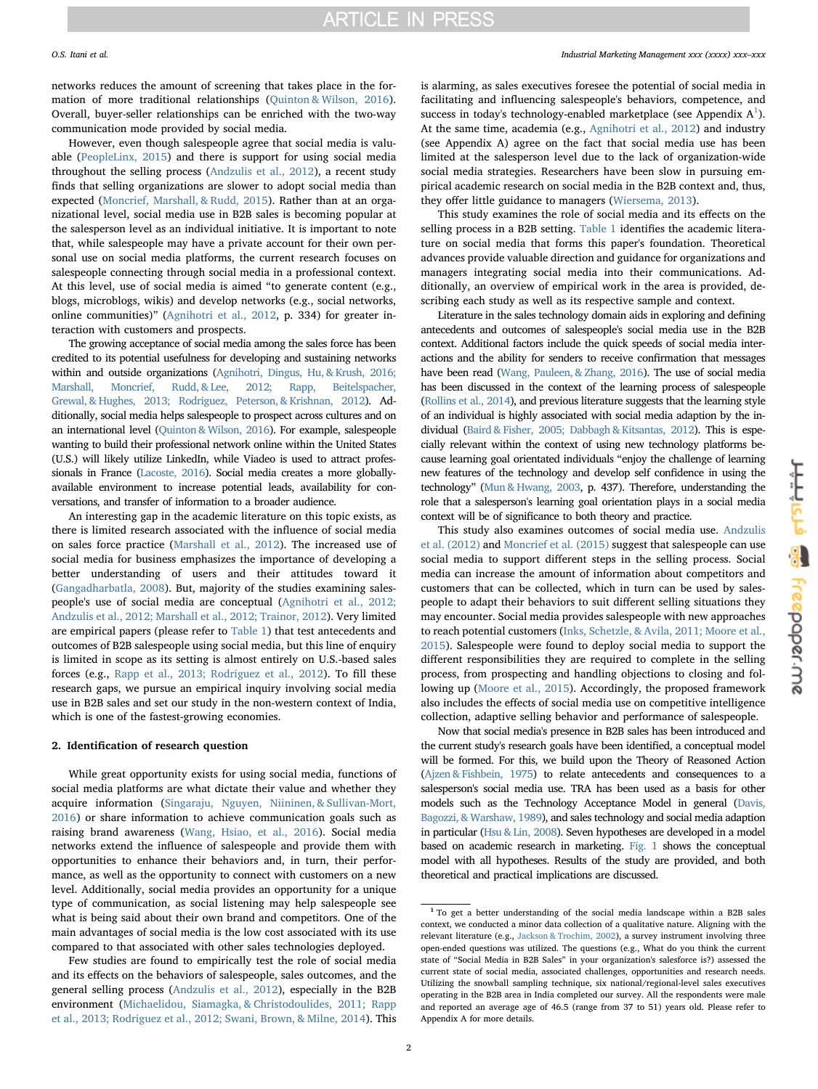networks reduces the amount of screening that takes place in the formation of more traditional relationships ([Quinton & Wilson, 2016](#page-14-4)). Overall, buyer-seller relationships can be enriched with the two-way communication mode provided by social media.

However, even though salespeople agree that social media is valuable [\(PeopleLinx, 2015\)](#page-14-5) and there is support for using social media throughout the selling process [\(Andzulis et al., 2012\)](#page-13-2), a recent study finds that selling organizations are slower to adopt social media than expected ([Moncrief, Marshall, & Rudd, 2015](#page-14-6)). Rather than at an organizational level, social media use in B2B sales is becoming popular at the salesperson level as an individual initiative. It is important to note that, while salespeople may have a private account for their own personal use on social media platforms, the current research focuses on salespeople connecting through social media in a professional context. At this level, use of social media is aimed "to generate content (e.g., blogs, microblogs, wikis) and develop networks (e.g., social networks, online communities)" ([Agnihotri et al., 2012](#page-13-0), p. 334) for greater interaction with customers and prospects.

The growing acceptance of social media among the sales force has been credited to its potential usefulness for developing and sustaining networks within and outside organizations [\(Agnihotri, Dingus, Hu, & Krush, 2016;](#page-13-3) [Marshall, Moncrief, Rudd, & Lee, 2012; Rapp, Beitelspacher,](#page-13-3) [Grewal, & Hughes, 2013; Rodriguez, Peterson, & Krishnan, 2012\)](#page-13-3). Additionally, social media helps salespeople to prospect across cultures and on an international level ([Quinton & Wilson, 2016](#page-14-4)). For example, salespeople wanting to build their professional network online within the United States (U.S.) will likely utilize LinkedIn, while Viadeo is used to attract professionals in France [\(Lacoste, 2016](#page-14-7)). Social media creates a more globallyavailable environment to increase potential leads, availability for conversations, and transfer of information to a broader audience.

An interesting gap in the academic literature on this topic exists, as there is limited research associated with the influence of social media on sales force practice ([Marshall et al., 2012\)](#page-14-8). The increased use of social media for business emphasizes the importance of developing a better understanding of users and their attitudes toward it ([Gangadharbatla, 2008\)](#page-13-4). But, majority of the studies examining salespeople's use of social media are conceptual ([Agnihotri et al., 2012;](#page-13-0) [Andzulis et al., 2012; Marshall et al., 2012; Trainor, 2012\)](#page-13-0). Very limited are empirical papers (please refer to [Table 1\)](#page-2-0) that test antecedents and outcomes of B2B salespeople using social media, but this line of enquiry is limited in scope as its setting is almost entirely on U.S.-based sales forces (e.g., [Rapp et al., 2013; Rodriguez et al., 2012\)](#page-14-9). To fill these research gaps, we pursue an empirical inquiry involving social media use in B2B sales and set our study in the non-western context of India, which is one of the fastest-growing economies.

#### 2. Identification of research question

While great opportunity exists for using social media, functions of social media platforms are what dictate their value and whether they acquire information [\(Singaraju, Nguyen, Niininen, & Sullivan-Mort,](#page-14-10) [2016\)](#page-14-10) or share information to achieve communication goals such as raising brand awareness [\(Wang, Hsiao, et al., 2016\)](#page-15-1). Social media networks extend the influence of salespeople and provide them with opportunities to enhance their behaviors and, in turn, their performance, as well as the opportunity to connect with customers on a new level. Additionally, social media provides an opportunity for a unique type of communication, as social listening may help salespeople see what is being said about their own brand and competitors. One of the main advantages of social media is the low cost associated with its use compared to that associated with other sales technologies deployed.

Few studies are found to empirically test the role of social media and its effects on the behaviors of salespeople, sales outcomes, and the general selling process [\(Andzulis et al., 2012\)](#page-13-2), especially in the B2B environment ([Michaelidou, Siamagka, & Christodoulides, 2011; Rapp](#page-14-11) [et al., 2013; Rodriguez et al., 2012; Swani, Brown, & Milne, 2014](#page-14-11)). This

### O.S. Itani et al. *Industrial Marketing Management xxx (xxxx) xxx–xxx*

is alarming, as sales executives foresee the potential of social media in facilitating and influencing salespeople's behaviors, competence, and success in today's technology-enabled marketplace (see Appendix  $A<sup>1</sup>$  $A<sup>1</sup>$  $A<sup>1</sup>$ ). At the same time, academia (e.g., [Agnihotri et al., 2012\)](#page-13-0) and industry (see Appendix A) agree on the fact that social media use has been limited at the salesperson level due to the lack of organization-wide social media strategies. Researchers have been slow in pursuing empirical academic research on social media in the B2B context and, thus, they offer little guidance to managers ([Wiersema, 2013](#page-15-2)).

This study examines the role of social media and its effects on the selling process in a B2B setting. [Table 1](#page-2-0) identifies the academic literature on social media that forms this paper's foundation. Theoretical advances provide valuable direction and guidance for organizations and managers integrating social media into their communications. Additionally, an overview of empirical work in the area is provided, describing each study as well as its respective sample and context.

Literature in the sales technology domain aids in exploring and defining antecedents and outcomes of salespeople's social media use in the B2B context. Additional factors include the quick speeds of social media interactions and the ability for senders to receive confirmation that messages have been read ([Wang, Pauleen, & Zhang, 2016](#page-15-3)). The use of social media has been discussed in the context of the learning process of salespeople [\(Rollins et al., 2014\)](#page-14-12), and previous literature suggests that the learning style of an individual is highly associated with social media adaption by the individual [\(Baird & Fisher, 2005; Dabbagh & Kitsantas, 2012\)](#page-13-5). This is especially relevant within the context of using new technology platforms because learning goal orientated individuals "enjoy the challenge of learning new features of the technology and develop self confidence in using the technology" ([Mun & Hwang, 2003,](#page-14-13) p. 437). Therefore, understanding the role that a salesperson's learning goal orientation plays in a social media context will be of significance to both theory and practice.

This study also examines outcomes of social media use. [Andzulis](#page-13-2) [et al. \(2012\)](#page-13-2) and [Moncrief et al. \(2015\)](#page-14-6) suggest that salespeople can use social media to support different steps in the selling process. Social media can increase the amount of information about competitors and customers that can be collected, which in turn can be used by salespeople to adapt their behaviors to suit different selling situations they may encounter. Social media provides salespeople with new approaches to reach potential customers [\(Inks, Schetzle, & Avila, 2011; Moore et al.,](#page-14-14) [2015\)](#page-14-14). Salespeople were found to deploy social media to support the different responsibilities they are required to complete in the selling process, from prospecting and handling objections to closing and following up [\(Moore et al., 2015\)](#page-14-15). Accordingly, the proposed framework also includes the effects of social media use on competitive intelligence collection, adaptive selling behavior and performance of salespeople.

Now that social media's presence in B2B sales has been introduced and the current study's research goals have been identified, a conceptual model will be formed. For this, we build upon the Theory of Reasoned Action [\(Ajzen & Fishbein, 1975](#page-13-6)) to relate antecedents and consequences to a salesperson's social media use. TRA has been used as a basis for other models such as the Technology Acceptance Model in general [\(Davis,](#page-13-7) [Bagozzi, & Warshaw, 1989](#page-13-7)), and sales technology and social media adaption in particular [\(Hsu & Lin, 2008\)](#page-14-16). Seven hypotheses are developed in a model based on academic research in marketing. [Fig. 1](#page-4-0) shows the conceptual model with all hypotheses. Results of the study are provided, and both theoretical and practical implications are discussed.

<span id="page-1-0"></span><sup>1</sup> To get a better understanding of the social media landscape within a B2B sales context, we conducted a minor data collection of a qualitative nature. Aligning with the relevant literature (e.g., [Jackson & Trochim, 2002](#page-14-17)), a survey instrument involving three open-ended questions was utilized. The questions (e.g., What do you think the current state of "Social Media in B2B Sales" in your organization's salesforce is?) assessed the current state of social media, associated challenges, opportunities and research needs. Utilizing the snowball sampling technique, six national/regional-level sales executives operating in the B2B area in India completed our survey. All the respondents were male and reported an average age of 46.5 (range from 37 to 51) years old. Please refer to Appendix A for more details.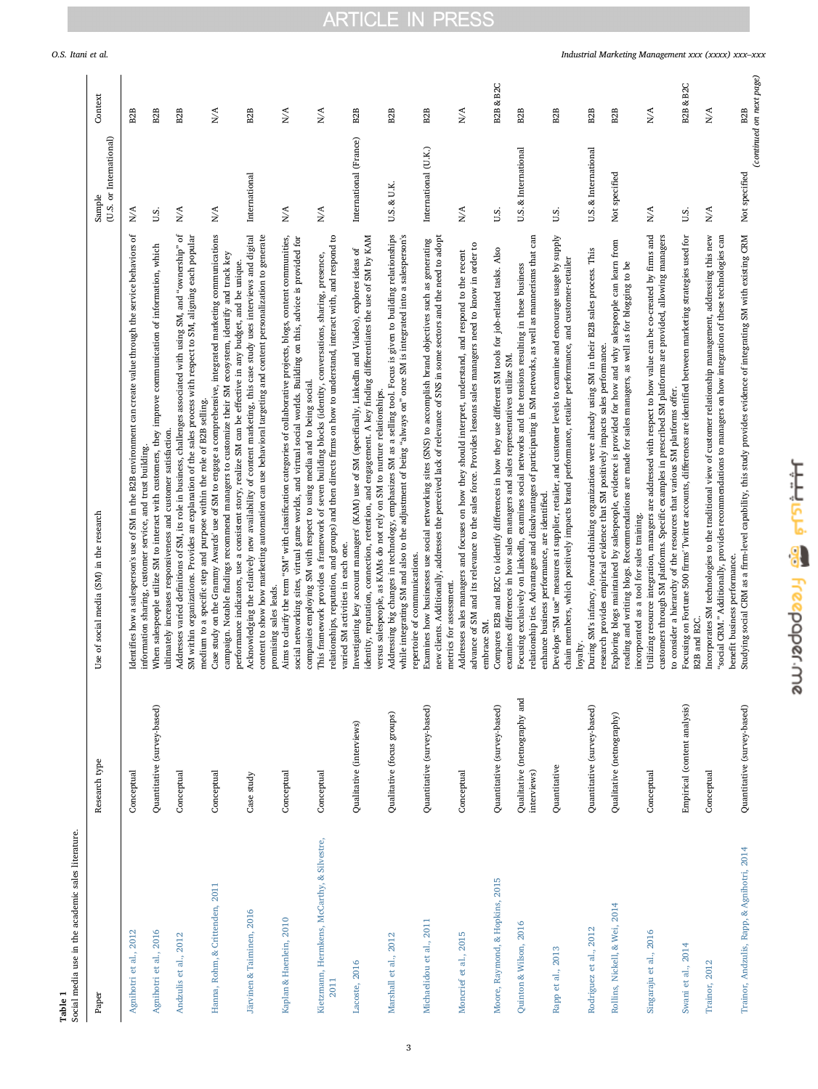Table 1 and 1 and 1 and 2 and 2 and 2 and 2 and 2 and 2 and 2 and 2 and 2 and 2 and 2 and 2 and 2 and 2 and 2 and 2 and 2 and 2 and 2 and 2 and 2 and 2 and 2 and 2 and 2 and 2 and 2 and 2 and 2 and 2 and 2 and 2 and 2 and Social media use in the academic sales literature.

| Paper                                               | Research type                               | Use of social media (SM) in the research                                                                                                                                                                                                                                                                                                       | (U.S. or International)<br>Sample | Context                      |
|-----------------------------------------------------|---------------------------------------------|------------------------------------------------------------------------------------------------------------------------------------------------------------------------------------------------------------------------------------------------------------------------------------------------------------------------------------------------|-----------------------------------|------------------------------|
| Agnihotri et al., 2012                              | Conceptual                                  | identifies how a salesperson's use of SM in the B2B environment can create value through the service behaviors of                                                                                                                                                                                                                              | $\stackrel{\triangle}{\geq}$      | B <sub>2</sub> B             |
| Agnihotri et al., 2016                              | Quantitative (survey-based)                 | When salespeople utilize SM to interact with customers, they improve communication of information, which<br>information sharing, customer service, and trust building.                                                                                                                                                                         | U.S.                              | B <sub>2</sub> B             |
| Andzulis et al., 2012                               | Conceptual                                  | Addresses varied definitions of SM, its role in business, challenges associated with using SM, and "ownership" of<br>SM within organizations. Provides an explanation of the sales process with respect to SM, aligning each popular<br>ultimately increases responsiveness and customer satisfaction.                                         | N/A                               | B <sub>2</sub> B             |
| Hanna, Rohm, & Crittenden, 2011                     | Conceptual                                  | Case study on the Grammy Awards' use of SM to engage a comprehensive, integrated marketing communications<br>campaign. Notable findings recommend managers to customize their SM ecosystem, identify and track key<br>medium to a specific step and purpose within the role of B2B selling.                                                    | N/A                               | N/A                          |
| Järvinen & Taiminen, 2016                           | Case study                                  | Acknowledging the relatively new availability of content marketing, this case study uses interviews and digital<br>content to show how marketing automation can use behavioral targeting and content personalization to generate<br>performance indicators, use a consistent story, realize SM can be effective in any budget, and be unique   | International                     | B <sub>2</sub> B             |
| Kaplan & Haenlein, 2010                             | Conceptual                                  | Aims to clarify the term "SM" with classification categories of collaborative projects, blogs, content communities,<br>social networking sites, virtual game worlds, and virtual social worlds. Building on this, advice is provided for<br>promising sales leads.                                                                             | N/A                               | N/A                          |
| Kietzmann, Hermkens, McCarthy, & Silvestre,<br>2011 | Conceptual                                  | relationships, reputation, and groups) and then directs firms on how to understand, interact with, and respond to<br>This framework provides a framework of seven building blocks (identity, conversations, sharing, presence,<br>companies employing SM with respect to using media and to being social.<br>varied SM activities in each one. | N/A                               | $\stackrel{\triangle}{\geq}$ |
| Lacoste, 2016                                       | Qualitative (interviews)                    | identity, reputation, connection, retention, and engagement. A key finding differentiates the use of SM by KAM<br>Investigating key account managers' (KAM) use of SM (specifically, LinkedIn and Viadeo), explores ideas of<br>versus salespeople, as KAMs do not rely on SM to nurture relationships.                                        | International (France)            | B <sub>2</sub> B             |
| Marshall et al., 2012                               | Qualitative (focus groups)                  | Addressing big changes in technology, emphasizes SM as a selling tool. Focus is given to building relationships<br>while integrating SM and also to the adjustment of being "always on" once SM is integrated into a salesperson's<br>repertoire of communications.                                                                            | U.S. & U.K.                       | B <sub>2</sub> B             |
| Michaelidou et al., 2011                            | Quantitative (survey-based)                 | new clients. Additionally, addresses the perceived lack of relevance of SNS in some sectors and the need to adopt<br>Examines how businesses use social networking sites (SNS) to accomplish brand objectives such as generating<br>metrics for assessment.                                                                                    | International (U.K.)              | B <sub>2</sub> B             |
| Moncrief et al., 2015                               | Conceptual                                  | advance of SM and its relevance to the sales force. Provides lessons sales managers need to know in order to<br>Addresses sales managers and focuses on how they should interpret, understand, and respond to the recent<br>embrace SM                                                                                                         | $\frac{A}{N}$                     | N/A                          |
| Moore, Raymond, & Hopkins, 2015                     | Quantitative (survey-based)                 | Compares B2B and B2C to identify differences in how they use different SM tools for job-related tasks. Also<br>examines differences in how sales managers and sales representatives utilize SM.                                                                                                                                                | U.S.                              | <b>B2B &amp; B2C</b>         |
| Quinton & Wilson, 2016                              | Qualitative (netnography and<br>interviews) | relationship ties. Advantages and disadvantages of participating in SM networks, as well as mannerisms that can<br>Focusing exclusively on LinkedIn, examines social networks and the tensions resulting in these business<br>enhance business performance, are identified.                                                                    | U.S. & International              | B <sub>2</sub> B             |
| Rapp et al., 2013                                   | Quantitative                                | Develops "SM use" measures at supplier, retailer, and customer levels to examine and encourage usage by supply<br>chain members, which positively impacts brand performance, retailer performance, and customer-retailer                                                                                                                       | U.S.                              | B <sub>2</sub> B             |
| Rodriguez et al., 2012                              | Quantitative (survey-based)                 | During SM's infancy, forward-thinking organizations were already using SM in their B2B sales process. This<br>research provides empirical evidence that SM positively impacts sales performance.<br>loyalty.                                                                                                                                   | U.S. & International              | B <sub>2</sub> B             |
| Rollins, Nickell, & Wei, 2014                       | Qualitative (netnography)                   | Exploring blogs maintained by salespeople, evidence is provided for how and why salespeople can learn from<br>reading and writing blogs. Recommendations are made for sales managers, as well as for blogging to be                                                                                                                            | Not specified                     | B <sub>2</sub> B             |
| Singaraju et al., 2016                              | Conceptual                                  | Utilizing resource integration, managers are addressed with respect to how value can be co-created by firms and<br>customers through SM platforms. Specific examples in prescribed SM platforms are provided, allowing managers<br>incorporated as a tool for sales training.                                                                  | N/A                               | N/A                          |
| Swani et al., 2014                                  | Empirical (content analysis)                | Focusing on Fortune 500 firms Twitter accounts, differences are identified between marketing strategies used for<br>to consider a hierarchy of the resources that various SM platforms offer.<br>B2B and B2C.                                                                                                                                  | U.S.                              | <b>B2B &amp; B2C</b>         |
| Trainor, 2012                                       | Conceptual                                  | Incorporates SM technologies to the traditional view of customer relationship management, addressing this new<br>"social CRM." Additionally, provides recommendations to managers on how integration of these technologies can<br>benefit business performance.                                                                                | N/A                               | N/A                          |
| Trainor, Andzulis, Rapp, & Agnihotri, 2014          | Quantitative (survey-based)                 | Studying social CRM as a firm-level capability, this study provides evidence of integrating SM with existing CRM                                                                                                                                                                                                                               | Not specified                     | B <sub>2</sub> B             |

# **ARTICLE IN PRESS**

<span id="page-2-0"></span>

(continued on next page)

(continued on next page)

**A HALLA COPPORTANT** 

3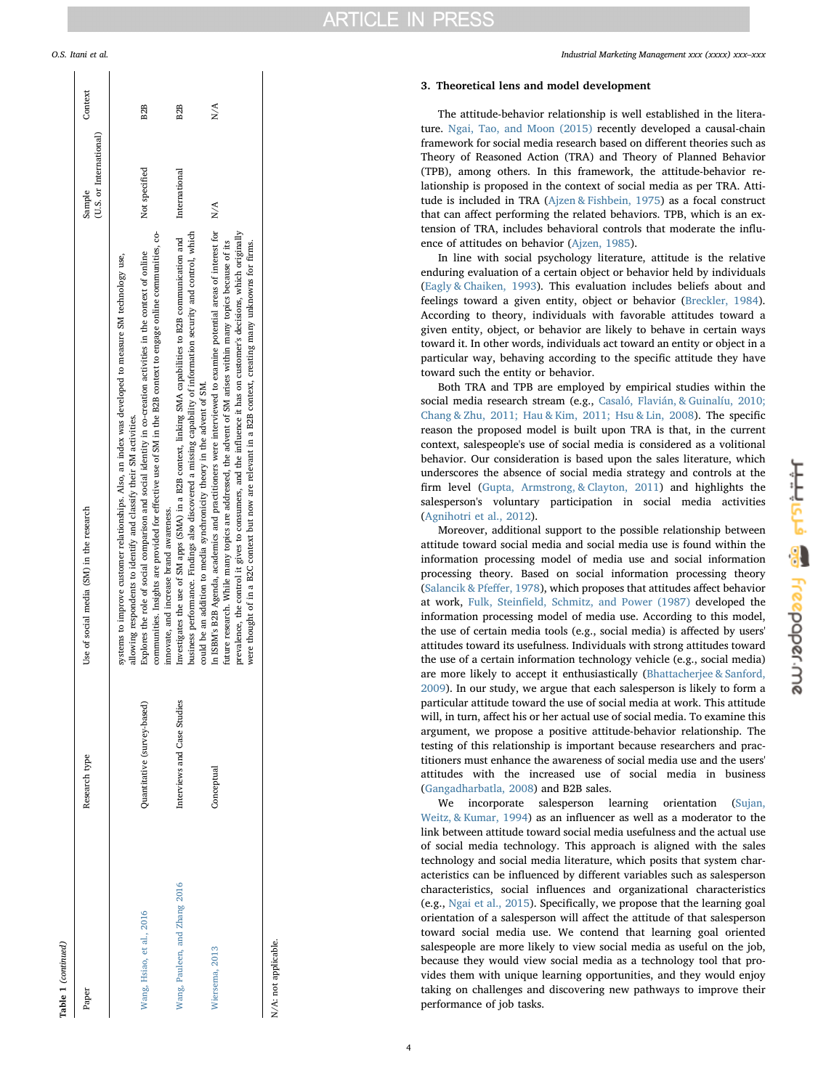| ٦<br>J |
|--------|

|                     | O.S. Itani et al.                        |                                                                                                     |                               |                                                                                                                                                                                                                                    | Industrial Marketing Management xxx (xxxx) xxx-xxx                                                                                                                                                                                                                                                                                                                                                                                                                                                                                                                                                                                                                                                                                                                                                                                                                                                                                                                                                                                                                                                                                                                                                                                                                                                                                                                                                                                                                                                                                                                                                                                                                                                                                                                                                                                                                                                                                                                                                                                                                                                                                                                                                                                                                                               |
|---------------------|------------------------------------------|-----------------------------------------------------------------------------------------------------|-------------------------------|------------------------------------------------------------------------------------------------------------------------------------------------------------------------------------------------------------------------------------|--------------------------------------------------------------------------------------------------------------------------------------------------------------------------------------------------------------------------------------------------------------------------------------------------------------------------------------------------------------------------------------------------------------------------------------------------------------------------------------------------------------------------------------------------------------------------------------------------------------------------------------------------------------------------------------------------------------------------------------------------------------------------------------------------------------------------------------------------------------------------------------------------------------------------------------------------------------------------------------------------------------------------------------------------------------------------------------------------------------------------------------------------------------------------------------------------------------------------------------------------------------------------------------------------------------------------------------------------------------------------------------------------------------------------------------------------------------------------------------------------------------------------------------------------------------------------------------------------------------------------------------------------------------------------------------------------------------------------------------------------------------------------------------------------------------------------------------------------------------------------------------------------------------------------------------------------------------------------------------------------------------------------------------------------------------------------------------------------------------------------------------------------------------------------------------------------------------------------------------------------------------------------------------------------|
|                     | Context                                  |                                                                                                     |                               |                                                                                                                                                                                                                                    | 3. Theoretical lens and model development                                                                                                                                                                                                                                                                                                                                                                                                                                                                                                                                                                                                                                                                                                                                                                                                                                                                                                                                                                                                                                                                                                                                                                                                                                                                                                                                                                                                                                                                                                                                                                                                                                                                                                                                                                                                                                                                                                                                                                                                                                                                                                                                                                                                                                                        |
|                     | (U.S. or International)<br>Sample        | B <sub>2</sub> B<br>Not specified                                                                   | B2B<br>International          | N/A<br>$\mathbb{N}/\mathbb{A}$                                                                                                                                                                                                     | The attitude-behavior relationship is well established in the litera-<br>ture. Ngai, Tao, and Moon (2015) recently developed a causal-chain<br>framework for social media research based on different theories such as<br>Theory of Reasoned Action (TRA) and Theory of Planned Behavior<br>(TPB), among others. In this framework, the attitude-behavior re-<br>lationship is proposed in the context of social media as per TRA. Atti-<br>tude is included in TRA (Ajzen & Fishbein, 1975) as a focal construct<br>that can affect performing the related behaviors. TPB, which is an ex-                                                                                                                                                                                                                                                                                                                                                                                                                                                                                                                                                                                                                                                                                                                                                                                                                                                                                                                                                                                                                                                                                                                                                                                                                                                                                                                                                                                                                                                                                                                                                                                                                                                                                                      |
|                     | Use of social media (SM) in the research | stems to improve customer relationships. Also, an index was developed to measure SM technology use, |                               | allowing respondents to identify and classify their SM activities.<br>Explores the role of social comparison and social identity in co-creation activities in the context of online<br>communities. Insights are provided for effe | tension of TRA, includes behavioral controls that moderate the influ-<br>ence of attitudes on behavior (Ajzen, 1985).<br>In line with social psychology literature, attitude is the relative<br>enduring evaluation of a certain object or behavior held by individuals<br>(Eagly & Chaiken, 1993). This evaluation includes beliefs about and<br>feelings toward a given entity, object or behavior (Breckler, 1984).<br>According to theory, individuals with favorable attitudes toward a<br>given entity, object, or behavior are likely to behave in certain ways<br>toward it. In other words, individuals act toward an entity or object in a<br>particular way, behaving according to the specific attitude they have<br>toward such the entity or behavior.<br>Both TRA and TPB are employed by empirical studies within the<br>social media research stream (e.g., Casaló, Flavián, & Guinalíu, 2010;<br>Chang & Zhu, 2011; Hau & Kim, 2011; Hsu & Lin, 2008). The specific<br>reason the proposed model is built upon TRA is that, in the current<br>context, salespeople's use of social media is considered as a volitional<br>behavior. Our consideration is based upon the sales literature, which<br>underscores the absence of social media strategy and controls at the<br>firm level (Gupta, Armstrong, & Clayton, 2011) and highlights the<br>salesperson's voluntary participation in social media activities<br>(Agnihotri et al., 2012).<br>Moreover, additional support to the possible relationship between<br>attitude toward social media and social media use is found within the<br>information processing model of media use and social information<br>processing theory. Based on social information processing theory<br>(Salancik & Pfeffer, 1978), which proposes that attitudes affect behavior<br>at work, Fulk, Steinfield, Schmitz, and Power (1987) developed the<br>information processing model of media use. According to this model,<br>the use of certain media tools (e.g., social media) is affected by users'<br>attitudes toward its usefulness. Individuals with strong attitudes toward<br>the use of a certain information technology vehicle (e.g., social media)<br>are more likely to accept it enthusiastically (Bhattacherjee & Sanford, |
|                     | Research type                            | Quantitative (survey-based)                                                                         | Interviews and Case Studies   | Conceptual                                                                                                                                                                                                                         | 2009). In our study, we argue that each salesperson is likely to form a<br>particular attitude toward the use of social media at work. This attitude<br>will, in turn, affect his or her actual use of social media. To examine this<br>argument, we propose a positive attitude-behavior relationship. The<br>testing of this relationship is important because researchers and prac-<br>titioners must enhance the awareness of social media use and the users'<br>attitudes with the increased use of social media in business<br>(Gangadharbatla, 2008) and B2B sales.<br>We incorporate salesperson learning<br>orientation<br>(Sujan,<br>Weitz, & Kumar, 1994) as an influencer as well as a moderator to the<br>link between attitude toward social media usefulness and the actual use<br>of social media technology. This approach is aligned with the sales<br>technology and social media literature, which posits that system char-                                                                                                                                                                                                                                                                                                                                                                                                                                                                                                                                                                                                                                                                                                                                                                                                                                                                                                                                                                                                                                                                                                                                                                                                                                                                                                                                                  |
| Table 1 (continued) | Paper                                    | Wang, Hsiao, et al., 2016                                                                           | Wang, Pauleen, and Zhang 2016 | Wiersema, 2013                                                                                                                                                                                                                     | acteristics can be influenced by different variables such as salesperson<br>characteristics, social influences and organizational characteristics<br>(e.g., Ngai et al., 2015). Specifically, we propose that the learning goal<br>orientation of a salesperson will affect the attitude of that salesperson<br>toward social media use. We contend that learning goal oriented<br>N/A: not applicable.<br>salespeople are more likely to view social media as useful on the job,<br>because they would view social media as a technology tool that pro-<br>vides them with unique learning opportunities, and they would enjoy<br>taking on challenges and discovering new pathways to improve their<br>performance of job tasks.                                                                                                                                                                                                                                                                                                                                                                                                                                                                                                                                                                                                                                                                                                                                                                                                                                                                                                                                                                                                                                                                                                                                                                                                                                                                                                                                                                                                                                                                                                                                                               |

# 3. Theoretical lens and model development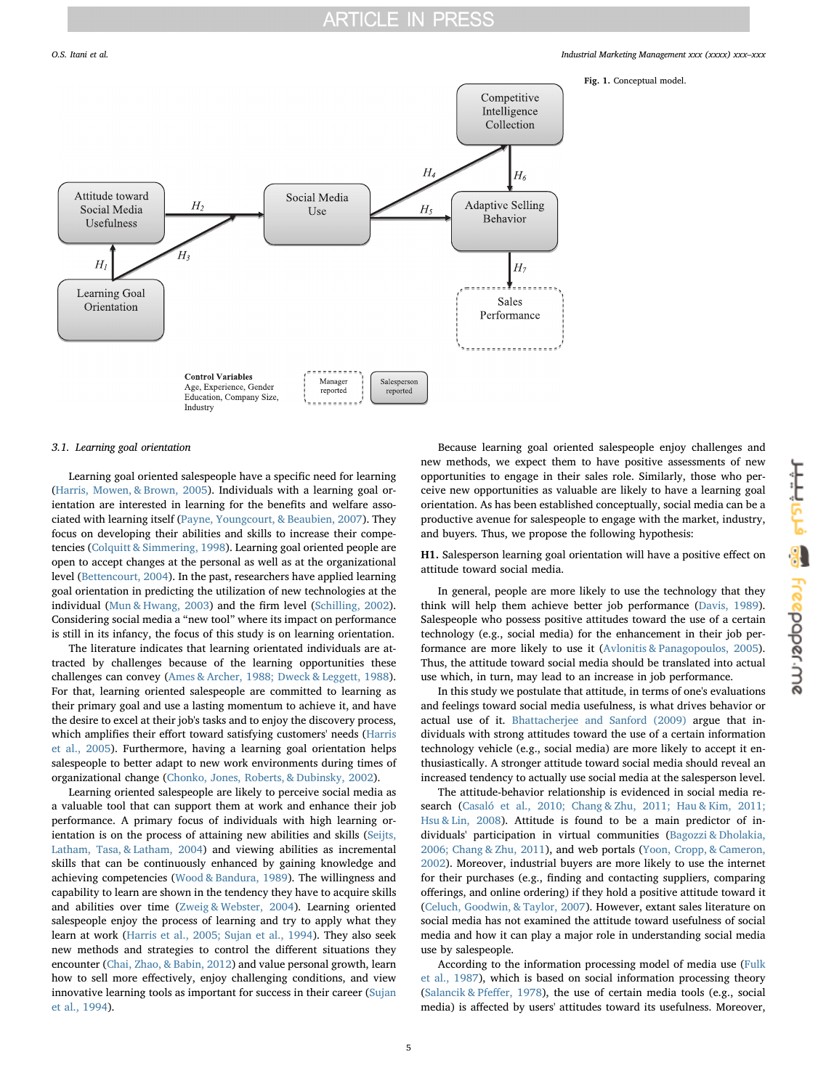#### Fig. 1. Conceptual model.

<span id="page-4-0"></span>

### 3.1. Learning goal orientation

Learning goal oriented salespeople have a specific need for learning ([Harris, Mowen, & Brown, 2005](#page-14-23)). Individuals with a learning goal orientation are interested in learning for the benefits and welfare associated with learning itself ([Payne, Youngcourt, & Beaubien, 2007](#page-14-24)). They focus on developing their abilities and skills to increase their competencies ([Colquitt & Simmering, 1998](#page-13-16)). Learning goal oriented people are open to accept changes at the personal as well as at the organizational level [\(Bettencourt, 2004\)](#page-13-17). In the past, researchers have applied learning goal orientation in predicting the utilization of new technologies at the individual ([Mun & Hwang, 2003](#page-14-13)) and the firm level ([Schilling, 2002](#page-14-25)). Considering social media a "new tool" where its impact on performance is still in its infancy, the focus of this study is on learning orientation.

The literature indicates that learning orientated individuals are attracted by challenges because of the learning opportunities these challenges can convey ([Ames & Archer, 1988; Dweck & Leggett, 1988](#page-13-18)). For that, learning oriented salespeople are committed to learning as their primary goal and use a lasting momentum to achieve it, and have the desire to excel at their job's tasks and to enjoy the discovery process, which amplifies their effort toward satisfying customers' needs ([Harris](#page-14-23) [et al., 2005\)](#page-14-23). Furthermore, having a learning goal orientation helps salespeople to better adapt to new work environments during times of organizational change ([Chonko, Jones, Roberts, & Dubinsky, 2002\)](#page-13-19).

Learning oriented salespeople are likely to perceive social media as a valuable tool that can support them at work and enhance their job performance. A primary focus of individuals with high learning orientation is on the process of attaining new abilities and skills ([Seijts,](#page-14-26) [Latham, Tasa, & Latham, 2004\)](#page-14-26) and viewing abilities as incremental skills that can be continuously enhanced by gaining knowledge and achieving competencies ([Wood & Bandura, 1989\)](#page-15-7). The willingness and capability to learn are shown in the tendency they have to acquire skills and abilities over time ([Zweig & Webster, 2004](#page-15-8)). Learning oriented salespeople enjoy the process of learning and try to apply what they learn at work [\(Harris et al., 2005; Sujan et al., 1994\)](#page-14-23). They also seek new methods and strategies to control the different situations they encounter ([Chai, Zhao, & Babin, 2012\)](#page-13-20) and value personal growth, learn how to sell more effectively, enjoy challenging conditions, and view innovative learning tools as important for success in their career [\(Sujan](#page-15-6) [et al., 1994](#page-15-6)).

Because learning goal oriented salespeople enjoy challenges and new methods, we expect them to have positive assessments of new opportunities to engage in their sales role. Similarly, those who perceive new opportunities as valuable are likely to have a learning goal orientation. As has been established conceptually, social media can be a productive avenue for salespeople to engage with the market, industry, and buyers. Thus, we propose the following hypothesis:

H1. Salesperson learning goal orientation will have a positive effect on attitude toward social media.

In general, people are more likely to use the technology that they think will help them achieve better job performance ([Davis, 1989](#page-13-21)). Salespeople who possess positive attitudes toward the use of a certain technology (e.g., social media) for the enhancement in their job performance are more likely to use it ([Avlonitis & Panagopoulos, 2005](#page-13-22)). Thus, the attitude toward social media should be translated into actual use which, in turn, may lead to an increase in job performance.

In this study we postulate that attitude, in terms of one's evaluations and feelings toward social media usefulness, is what drives behavior or actual use of it. [Bhattacherjee and Sanford \(2009\)](#page-13-15) argue that individuals with strong attitudes toward the use of a certain information technology vehicle (e.g., social media) are more likely to accept it enthusiastically. A stronger attitude toward social media should reveal an increased tendency to actually use social media at the salesperson level.

The attitude-behavior relationship is evidenced in social media research ([Casaló et al., 2010; Chang & Zhu, 2011; Hau & Kim, 2011;](#page-13-12) [Hsu & Lin, 2008\)](#page-13-12). Attitude is found to be a main predictor of individuals' participation in virtual communities ([Bagozzi & Dholakia,](#page-13-23) [2006; Chang & Zhu, 2011](#page-13-23)), and web portals [\(Yoon, Cropp, & Cameron,](#page-15-9) [2002\)](#page-15-9). Moreover, industrial buyers are more likely to use the internet for their purchases (e.g., finding and contacting suppliers, comparing offerings, and online ordering) if they hold a positive attitude toward it ([Celuch, Goodwin, & Taylor, 2007\)](#page-13-24). However, extant sales literature on social media has not examined the attitude toward usefulness of social media and how it can play a major role in understanding social media use by salespeople.

According to the information processing model of media use [\(Fulk](#page-13-14) [et al., 1987\)](#page-13-14), which is based on social information processing theory ([Salancik & Pfe](#page-14-22)ffer, 1978), the use of certain media tools (e.g., social media) is affected by users' attitudes toward its usefulness. Moreover,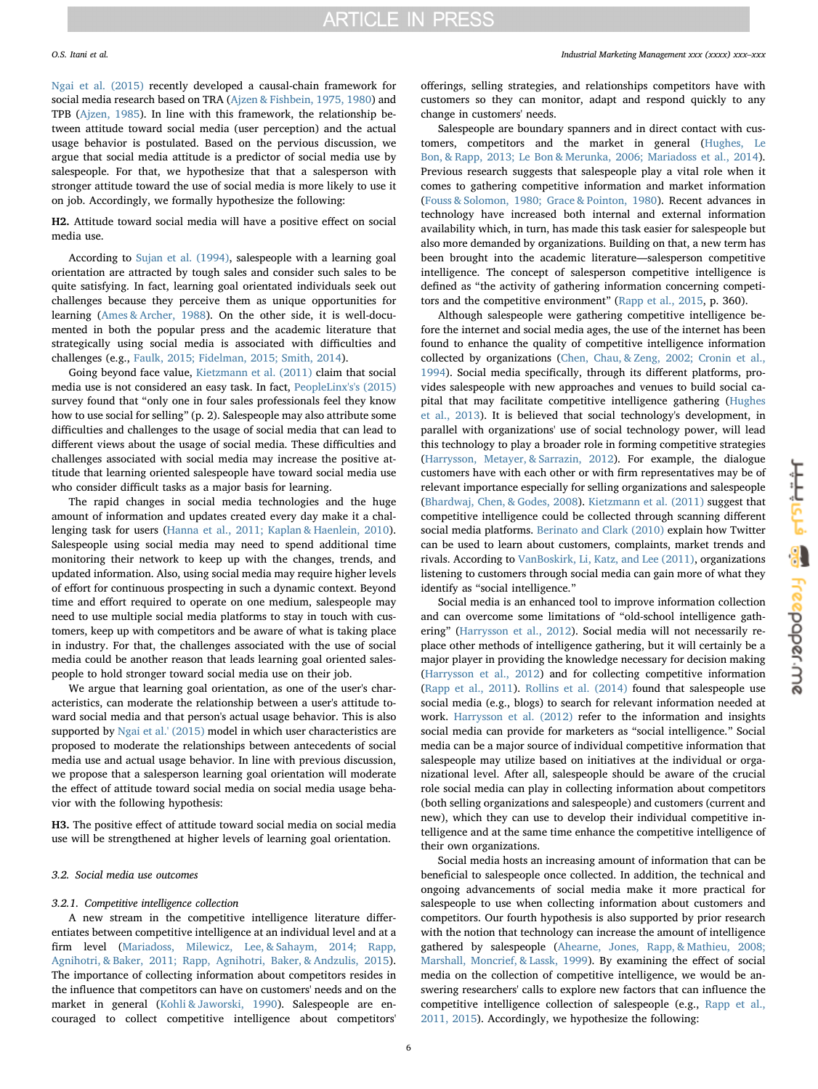[Ngai et al. \(2015\)](#page-14-21) recently developed a causal-chain framework for social media research based on TRA [\(Ajzen & Fishbein, 1975, 1980\)](#page-13-6) and TPB [\(Ajzen, 1985\)](#page-13-9). In line with this framework, the relationship between attitude toward social media (user perception) and the actual usage behavior is postulated. Based on the pervious discussion, we argue that social media attitude is a predictor of social media use by salespeople. For that, we hypothesize that that a salesperson with stronger attitude toward the use of social media is more likely to use it on job. Accordingly, we formally hypothesize the following:

H2. Attitude toward social media will have a positive effect on social media use.

According to [Sujan et al. \(1994\)](#page-15-6), salespeople with a learning goal orientation are attracted by tough sales and consider such sales to be quite satisfying. In fact, learning goal orientated individuals seek out challenges because they perceive them as unique opportunities for learning ([Ames & Archer, 1988](#page-13-18)). On the other side, it is well-documented in both the popular press and the academic literature that strategically using social media is associated with difficulties and challenges (e.g., [Faulk, 2015; Fidelman, 2015; Smith, 2014\)](#page-13-25).

Going beyond face value, [Kietzmann et al. \(2011\)](#page-14-19) claim that social media use is not considered an easy task. In fact, [PeopleLinx's's \(2015\)](#page-14-5) survey found that "only one in four sales professionals feel they know how to use social for selling" (p. 2). Salespeople may also attribute some difficulties and challenges to the usage of social media that can lead to different views about the usage of social media. These difficulties and challenges associated with social media may increase the positive attitude that learning oriented salespeople have toward social media use who consider difficult tasks as a major basis for learning.

The rapid changes in social media technologies and the huge amount of information and updates created every day make it a challenging task for users ([Hanna et al., 2011; Kaplan & Haenlein, 2010](#page-13-8)). Salespeople using social media may need to spend additional time monitoring their network to keep up with the changes, trends, and updated information. Also, using social media may require higher levels of effort for continuous prospecting in such a dynamic context. Beyond time and effort required to operate on one medium, salespeople may need to use multiple social media platforms to stay in touch with customers, keep up with competitors and be aware of what is taking place in industry. For that, the challenges associated with the use of social media could be another reason that leads learning goal oriented salespeople to hold stronger toward social media use on their job.

We argue that learning goal orientation, as one of the user's characteristics, can moderate the relationship between a user's attitude toward social media and that person's actual usage behavior. This is also supported by [Ngai et al.' \(2015\)](#page-14-21) model in which user characteristics are proposed to moderate the relationships between antecedents of social media use and actual usage behavior. In line with previous discussion, we propose that a salesperson learning goal orientation will moderate the effect of attitude toward social media on social media usage behavior with the following hypothesis:

H3. The positive effect of attitude toward social media on social media use will be strengthened at higher levels of learning goal orientation.

### 3.2. Social media use outcomes

### 3.2.1. Competitive intelligence collection

A new stream in the competitive intelligence literature differentiates between competitive intelligence at an individual level and at a firm level [\(Mariadoss, Milewicz, Lee, & Sahaym, 2014; Rapp,](#page-14-27) [Agnihotri, & Baker, 2011; Rapp, Agnihotri, Baker, & Andzulis, 2015](#page-14-27)). The importance of collecting information about competitors resides in the influence that competitors can have on customers' needs and on the market in general ([Kohli & Jaworski, 1990\)](#page-14-28). Salespeople are encouraged to collect competitive intelligence about competitors'

#### O.S. Itani et al. *Industrial Marketing Management xxx (xxxx) xxx–xxx*

offerings, selling strategies, and relationships competitors have with customers so they can monitor, adapt and respond quickly to any change in customers' needs.

Salespeople are boundary spanners and in direct contact with customers, competitors and the market in general [\(Hughes, Le](#page-14-29) [Bon, & Rapp, 2013; Le Bon & Merunka, 2006; Mariadoss et al., 2014](#page-14-29)). Previous research suggests that salespeople play a vital role when it comes to gathering competitive information and market information ([Fouss & Solomon, 1980; Grace & Pointon, 1980\)](#page-13-26). Recent advances in technology have increased both internal and external information availability which, in turn, has made this task easier for salespeople but also more demanded by organizations. Building on that, a new term has been brought into the academic literature—salesperson competitive intelligence. The concept of salesperson competitive intelligence is defined as "the activity of gathering information concerning competitors and the competitive environment" ([Rapp et al., 2015](#page-14-30), p. 360).

Although salespeople were gathering competitive intelligence before the internet and social media ages, the use of the internet has been found to enhance the quality of competitive intelligence information collected by organizations ([Chen, Chau, & Zeng, 2002; Cronin et al.,](#page-13-27) [1994\)](#page-13-27). Social media specifically, through its different platforms, provides salespeople with new approaches and venues to build social capital that may facilitate competitive intelligence gathering [\(Hughes](#page-14-29) [et al., 2013\)](#page-14-29). It is believed that social technology's development, in parallel with organizations' use of social technology power, will lead this technology to play a broader role in forming competitive strategies ([Harrysson, Metayer, & Sarrazin, 2012\)](#page-14-31). For example, the dialogue customers have with each other or with firm representatives may be of relevant importance especially for selling organizations and salespeople ([Bhardwaj, Chen, & Godes, 2008](#page-13-28)). [Kietzmann et al. \(2011\)](#page-14-19) suggest that competitive intelligence could be collected through scanning different social media platforms. [Berinato and Clark \(2010\)](#page-13-29) explain how Twitter can be used to learn about customers, complaints, market trends and rivals. According to [VanBoskirk, Li, Katz, and Lee \(2011\),](#page-15-10) organizations listening to customers through social media can gain more of what they identify as "social intelligence."

Social media is an enhanced tool to improve information collection and can overcome some limitations of "old-school intelligence gathering" ([Harrysson et al., 2012](#page-14-31)). Social media will not necessarily replace other methods of intelligence gathering, but it will certainly be a major player in providing the knowledge necessary for decision making ([Harrysson et al., 2012](#page-14-31)) and for collecting competitive information ([Rapp et al., 2011\)](#page-14-32). [Rollins et al. \(2014\)](#page-14-12) found that salespeople use social media (e.g., blogs) to search for relevant information needed at work. [Harrysson et al. \(2012\)](#page-14-31) refer to the information and insights social media can provide for marketers as "social intelligence." Social media can be a major source of individual competitive information that salespeople may utilize based on initiatives at the individual or organizational level. After all, salespeople should be aware of the crucial role social media can play in collecting information about competitors (both selling organizations and salespeople) and customers (current and new), which they can use to develop their individual competitive intelligence and at the same time enhance the competitive intelligence of their own organizations.

Social media hosts an increasing amount of information that can be beneficial to salespeople once collected. In addition, the technical and ongoing advancements of social media make it more practical for salespeople to use when collecting information about customers and competitors. Our fourth hypothesis is also supported by prior research with the notion that technology can increase the amount of intelligence gathered by salespeople [\(Ahearne, Jones, Rapp, & Mathieu, 2008;](#page-13-30) [Marshall, Moncrief, & Lassk, 1999](#page-13-30)). By examining the effect of social media on the collection of competitive intelligence, we would be answering researchers' calls to explore new factors that can influence the competitive intelligence collection of salespeople (e.g., [Rapp et al.,](#page-14-32) [2011, 2015](#page-14-32)). Accordingly, we hypothesize the following: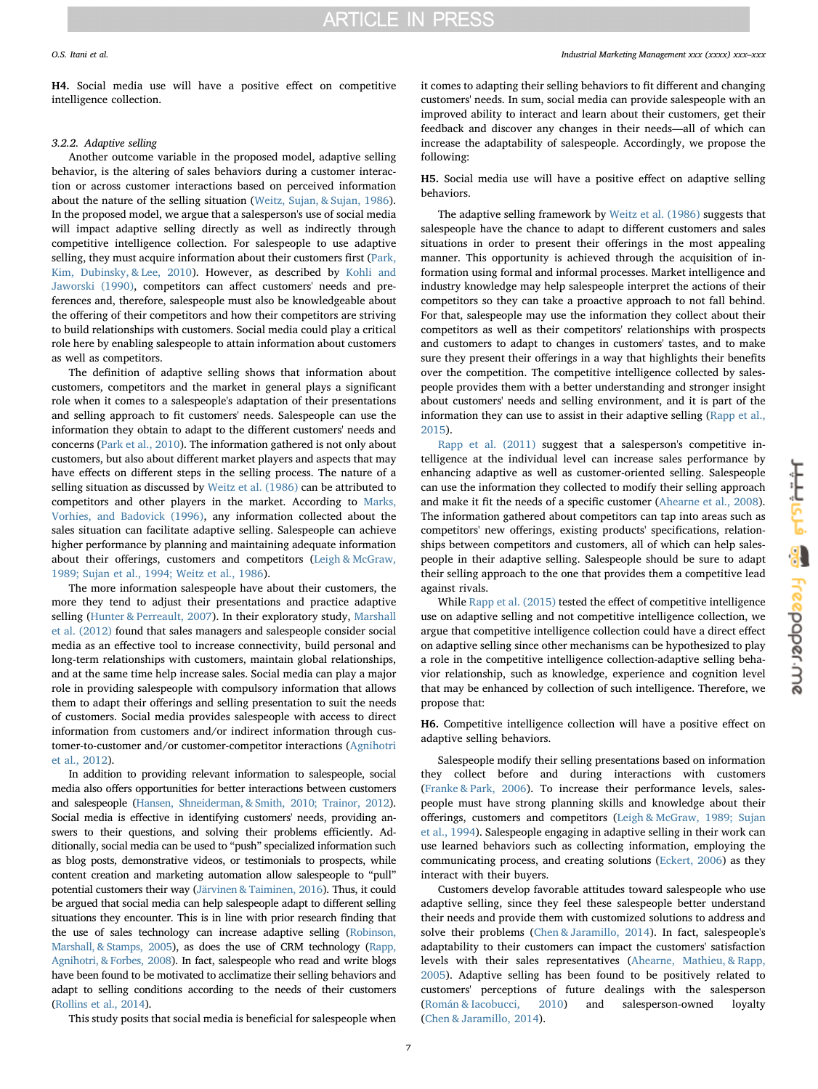H4. Social media use will have a positive effect on competitive intelligence collection.

#### 3.2.2. Adaptive selling

Another outcome variable in the proposed model, adaptive selling behavior, is the altering of sales behaviors during a customer interaction or across customer interactions based on perceived information about the nature of the selling situation [\(Weitz, Sujan, & Sujan, 1986](#page-15-11)). In the proposed model, we argue that a salesperson's use of social media will impact adaptive selling directly as well as indirectly through competitive intelligence collection. For salespeople to use adaptive selling, they must acquire information about their customers first [\(Park,](#page-14-33) [Kim, Dubinsky, & Lee, 2010\)](#page-14-33). However, as described by [Kohli and](#page-14-28) [Jaworski \(1990\),](#page-14-28) competitors can affect customers' needs and preferences and, therefore, salespeople must also be knowledgeable about the offering of their competitors and how their competitors are striving to build relationships with customers. Social media could play a critical role here by enabling salespeople to attain information about customers as well as competitors.

The definition of adaptive selling shows that information about customers, competitors and the market in general plays a significant role when it comes to a salespeople's adaptation of their presentations and selling approach to fit customers' needs. Salespeople can use the information they obtain to adapt to the different customers' needs and concerns ([Park et al., 2010\)](#page-14-33). The information gathered is not only about customers, but also about different market players and aspects that may have effects on different steps in the selling process. The nature of a selling situation as discussed by [Weitz et al. \(1986\)](#page-15-11) can be attributed to competitors and other players in the market. According to [Marks,](#page-14-34) [Vorhies, and Badovick \(1996\)](#page-14-34), any information collected about the sales situation can facilitate adaptive selling. Salespeople can achieve higher performance by planning and maintaining adequate information about their offerings, customers and competitors ([Leigh & McGraw,](#page-14-35) [1989; Sujan et al., 1994; Weitz et al., 1986\)](#page-14-35).

The more information salespeople have about their customers, the more they tend to adjust their presentations and practice adaptive selling [\(Hunter & Perreault, 2007](#page-14-36)). In their exploratory study, [Marshall](#page-14-8) [et al. \(2012\)](#page-14-8) found that sales managers and salespeople consider social media as an effective tool to increase connectivity, build personal and long-term relationships with customers, maintain global relationships, and at the same time help increase sales. Social media can play a major role in providing salespeople with compulsory information that allows them to adapt their offerings and selling presentation to suit the needs of customers. Social media provides salespeople with access to direct information from customers and/or indirect information through customer-to-customer and/or customer-competitor interactions ([Agnihotri](#page-13-0) [et al., 2012](#page-13-0)).

In addition to providing relevant information to salespeople, social media also offers opportunities for better interactions between customers and salespeople [\(Hansen, Shneiderman, & Smith, 2010; Trainor, 2012\)](#page-13-31). Social media is effective in identifying customers' needs, providing answers to their questions, and solving their problems efficiently. Additionally, social media can be used to "push" specialized information such as blog posts, demonstrative videos, or testimonials to prospects, while content creation and marketing automation allow salespeople to "pull" potential customers their way [\(Järvinen & Taiminen, 2016\)](#page-14-18). Thus, it could be argued that social media can help salespeople adapt to different selling situations they encounter. This is in line with prior research finding that the use of sales technology can increase adaptive selling ([Robinson,](#page-14-37) [Marshall, & Stamps, 2005](#page-14-37)), as does the use of CRM technology [\(Rapp,](#page-14-38) [Agnihotri, & Forbes, 2008\)](#page-14-38). In fact, salespeople who read and write blogs have been found to be motivated to acclimatize their selling behaviors and adapt to selling conditions according to the needs of their customers [\(Rollins et al., 2014\)](#page-14-12).

This study posits that social media is beneficial for salespeople when

7

#### O.S. Itani et al. *Industrial Marketing Management xxx (xxxx) xxx–xxx*

it comes to adapting their selling behaviors to fit different and changing customers' needs. In sum, social media can provide salespeople with an improved ability to interact and learn about their customers, get their feedback and discover any changes in their needs—all of which can increase the adaptability of salespeople. Accordingly, we propose the following:

H5. Social media use will have a positive effect on adaptive selling behaviors.

The adaptive selling framework by [Weitz et al. \(1986\)](#page-15-11) suggests that salespeople have the chance to adapt to different customers and sales situations in order to present their offerings in the most appealing manner. This opportunity is achieved through the acquisition of information using formal and informal processes. Market intelligence and industry knowledge may help salespeople interpret the actions of their competitors so they can take a proactive approach to not fall behind. For that, salespeople may use the information they collect about their competitors as well as their competitors' relationships with prospects and customers to adapt to changes in customers' tastes, and to make sure they present their offerings in a way that highlights their benefits over the competition. The competitive intelligence collected by salespeople provides them with a better understanding and stronger insight about customers' needs and selling environment, and it is part of the information they can use to assist in their adaptive selling [\(Rapp et al.,](#page-14-30) [2015\)](#page-14-30).

[Rapp et al. \(2011\)](#page-14-32) suggest that a salesperson's competitive intelligence at the individual level can increase sales performance by enhancing adaptive as well as customer-oriented selling. Salespeople can use the information they collected to modify their selling approach and make it fit the needs of a specific customer [\(Ahearne et al., 2008](#page-13-30)). The information gathered about competitors can tap into areas such as competitors' new offerings, existing products' specifications, relationships between competitors and customers, all of which can help salespeople in their adaptive selling. Salespeople should be sure to adapt their selling approach to the one that provides them a competitive lead against rivals.

While [Rapp et al. \(2015\)](#page-14-30) tested the effect of competitive intelligence use on adaptive selling and not competitive intelligence collection, we argue that competitive intelligence collection could have a direct effect on adaptive selling since other mechanisms can be hypothesized to play a role in the competitive intelligence collection-adaptive selling behavior relationship, such as knowledge, experience and cognition level that may be enhanced by collection of such intelligence. Therefore, we propose that:

H6. Competitive intelligence collection will have a positive effect on adaptive selling behaviors.

Salespeople modify their selling presentations based on information they collect before and during interactions with customers ([Franke & Park, 2006](#page-13-32)). To increase their performance levels, salespeople must have strong planning skills and knowledge about their offerings, customers and competitors ([Leigh & McGraw, 1989; Sujan](#page-14-35) [et al., 1994](#page-14-35)). Salespeople engaging in adaptive selling in their work can use learned behaviors such as collecting information, employing the communicating process, and creating solutions ([Eckert, 2006](#page-13-33)) as they interact with their buyers.

Customers develop favorable attitudes toward salespeople who use adaptive selling, since they feel these salespeople better understand their needs and provide them with customized solutions to address and solve their problems ([Chen & Jaramillo, 2014](#page-13-34)). In fact, salespeople's adaptability to their customers can impact the customers' satisfaction levels with their sales representatives ([Ahearne, Mathieu, & Rapp,](#page-13-35) [2005\)](#page-13-35). Adaptive selling has been found to be positively related to customers' perceptions of future dealings with the salesperson ([Román & Iacobucci, 2010](#page-14-39)) and salesperson-owned loyalty ([Chen & Jaramillo, 2014](#page-13-34)).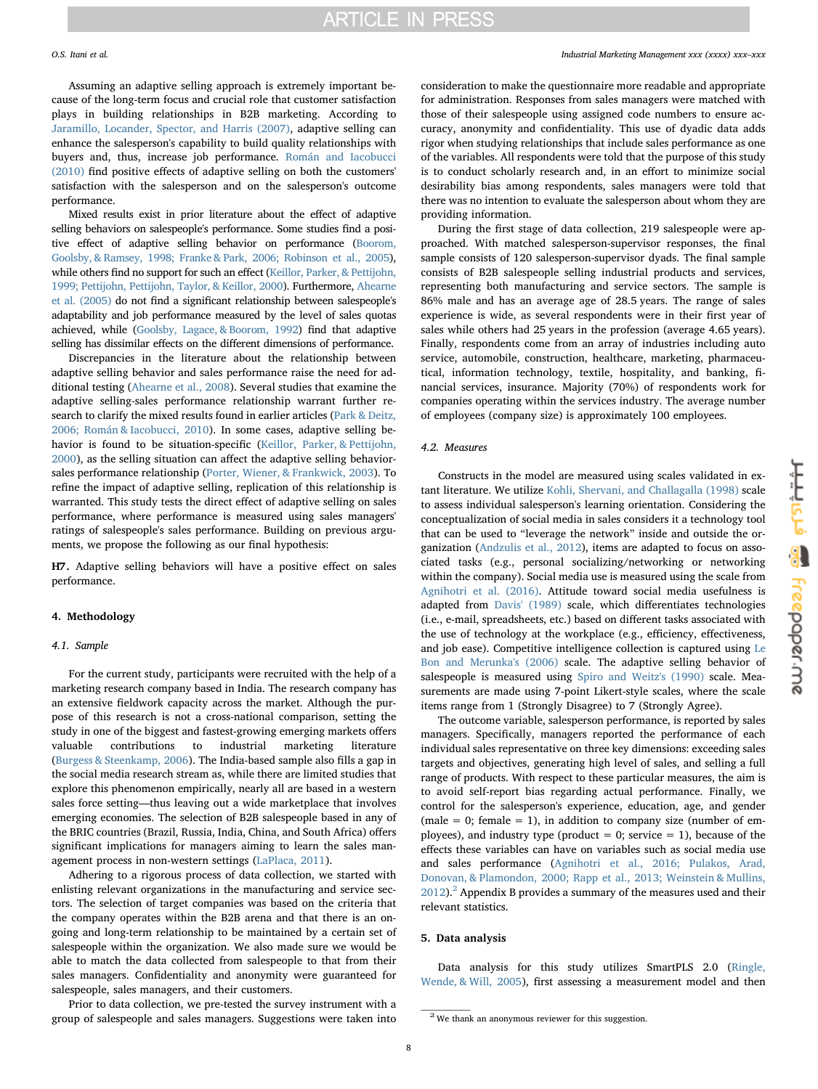Assuming an adaptive selling approach is extremely important because of the long-term focus and crucial role that customer satisfaction plays in building relationships in B2B marketing. According to [Jaramillo, Locander, Spector, and Harris \(2007\)](#page-14-40), adaptive selling can enhance the salesperson's capability to build quality relationships with buyers and, thus, increase job performance. [Román and Iacobucci](#page-14-39) [\(2010\)](#page-14-39) find positive effects of adaptive selling on both the customers' satisfaction with the salesperson and on the salesperson's outcome performance.

Mixed results exist in prior literature about the effect of adaptive selling behaviors on salespeople's performance. Some studies find a positive effect of adaptive selling behavior on performance ([Boorom,](#page-13-36) [Goolsby, & Ramsey, 1998; Franke & Park, 2006; Robinson et al., 2005\)](#page-13-36), while others find no support for such an effect ([Keillor, Parker, & Pettijohn,](#page-14-41) [1999; Pettijohn, Pettijohn, Taylor, & Keillor, 2000](#page-14-41)). Furthermore, [Ahearne](#page-13-35) [et al. \(2005\)](#page-13-35) do not find a significant relationship between salespeople's adaptability and job performance measured by the level of sales quotas achieved, while ([Goolsby, Lagace, & Boorom, 1992](#page-13-37)) find that adaptive selling has dissimilar effects on the different dimensions of performance.

Discrepancies in the literature about the relationship between adaptive selling behavior and sales performance raise the need for additional testing ([Ahearne et al., 2008](#page-13-30)). Several studies that examine the adaptive selling-sales performance relationship warrant further research to clarify the mixed results found in earlier articles [\(Park & Deitz,](#page-14-42) [2006; Román & Iacobucci, 2010](#page-14-42)). In some cases, adaptive selling behavior is found to be situation-specific [\(Keillor, Parker, & Pettijohn,](#page-14-43) [2000\)](#page-14-43), as the selling situation can affect the adaptive selling behaviorsales performance relationship [\(Porter, Wiener, & Frankwick, 2003](#page-14-44)). To refine the impact of adaptive selling, replication of this relationship is warranted. This study tests the direct effect of adaptive selling on sales performance, where performance is measured using sales managers' ratings of salespeople's sales performance. Building on previous arguments, we propose the following as our final hypothesis:

H7. Adaptive selling behaviors will have a positive effect on sales performance.

### 4. Methodology

#### 4.1. Sample

For the current study, participants were recruited with the help of a marketing research company based in India. The research company has an extensive fieldwork capacity across the market. Although the purpose of this research is not a cross-national comparison, setting the study in one of the biggest and fastest-growing emerging markets offers valuable contributions to industrial marketing literature ([Burgess & Steenkamp, 2006](#page-13-38)). The India-based sample also fills a gap in the social media research stream as, while there are limited studies that explore this phenomenon empirically, nearly all are based in a western sales force setting—thus leaving out a wide marketplace that involves emerging economies. The selection of B2B salespeople based in any of the BRIC countries (Brazil, Russia, India, China, and South Africa) offers significant implications for managers aiming to learn the sales management process in non-western settings [\(LaPlaca, 2011\)](#page-14-45).

Adhering to a rigorous process of data collection, we started with enlisting relevant organizations in the manufacturing and service sectors. The selection of target companies was based on the criteria that the company operates within the B2B arena and that there is an ongoing and long-term relationship to be maintained by a certain set of salespeople within the organization. We also made sure we would be able to match the data collected from salespeople to that from their sales managers. Confidentiality and anonymity were guaranteed for salespeople, sales managers, and their customers.

Prior to data collection, we pre-tested the survey instrument with a group of salespeople and sales managers. Suggestions were taken into

#### O.S. Itani et al. *Industrial Marketing Management xxx (xxxx) xxx–xxx*

consideration to make the questionnaire more readable and appropriate for administration. Responses from sales managers were matched with those of their salespeople using assigned code numbers to ensure accuracy, anonymity and confidentiality. This use of dyadic data adds rigor when studying relationships that include sales performance as one of the variables. All respondents were told that the purpose of this study is to conduct scholarly research and, in an effort to minimize social desirability bias among respondents, sales managers were told that there was no intention to evaluate the salesperson about whom they are providing information.

During the first stage of data collection, 219 salespeople were approached. With matched salesperson-supervisor responses, the final sample consists of 120 salesperson-supervisor dyads. The final sample consists of B2B salespeople selling industrial products and services, representing both manufacturing and service sectors. The sample is 86% male and has an average age of 28.5 years. The range of sales experience is wide, as several respondents were in their first year of sales while others had 25 years in the profession (average 4.65 years). Finally, respondents come from an array of industries including auto service, automobile, construction, healthcare, marketing, pharmaceutical, information technology, textile, hospitality, and banking, financial services, insurance. Majority (70%) of respondents work for companies operating within the services industry. The average number of employees (company size) is approximately 100 employees.

### 4.2. Measures

Constructs in the model are measured using scales validated in extant literature. We utilize [Kohli, Shervani, and Challagalla \(1998\)](#page-14-46) scale to assess individual salesperson's learning orientation. Considering the conceptualization of social media in sales considers it a technology tool that can be used to "leverage the network" inside and outside the organization [\(Andzulis et al., 2012](#page-13-2)), items are adapted to focus on associated tasks (e.g., personal socializing/networking or networking within the company). Social media use is measured using the scale from [Agnihotri et al. \(2016\)](#page-13-3). Attitude toward social media usefulness is adapted from [Davis' \(1989\)](#page-13-21) scale, which differentiates technologies (i.e., e-mail, spreadsheets, etc.) based on different tasks associated with the use of technology at the workplace (e.g., efficiency, effectiveness, and job ease). Competitive intelligence collection is captured using [Le](#page-14-47) [Bon and Merunka's \(2006\)](#page-14-47) scale. The adaptive selling behavior of salespeople is measured using [Spiro and Weitz's \(1990\)](#page-15-12) scale. Measurements are made using 7-point Likert-style scales, where the scale items range from 1 (Strongly Disagree) to 7 (Strongly Agree).

The outcome variable, salesperson performance, is reported by sales managers. Specifically, managers reported the performance of each individual sales representative on three key dimensions: exceeding sales targets and objectives, generating high level of sales, and selling a full range of products. With respect to these particular measures, the aim is to avoid self-report bias regarding actual performance. Finally, we control for the salesperson's experience, education, age, and gender (male  $= 0$ ; female  $= 1$ ), in addition to company size (number of employees), and industry type (product  $= 0$ ; service  $= 1$ ), because of the effects these variables can have on variables such as social media use and sales performance ([Agnihotri et al., 2016; Pulakos, Arad,](#page-13-3) [Donovan, & Plamondon, 2000; Rapp et al., 2013; Weinstein & Mullins,](#page-13-3)  $2012$  $2012$ .<sup>2</sup> Appendix B provides a summary of the measures used and their relevant statistics.

#### 5. Data analysis

Data analysis for this study utilizes SmartPLS 2.0 ([Ringle,](#page-14-48) [Wende, & Will, 2005](#page-14-48)), first assessing a measurement model and then

<span id="page-7-0"></span><sup>2</sup> We thank an anonymous reviewer for this suggestion.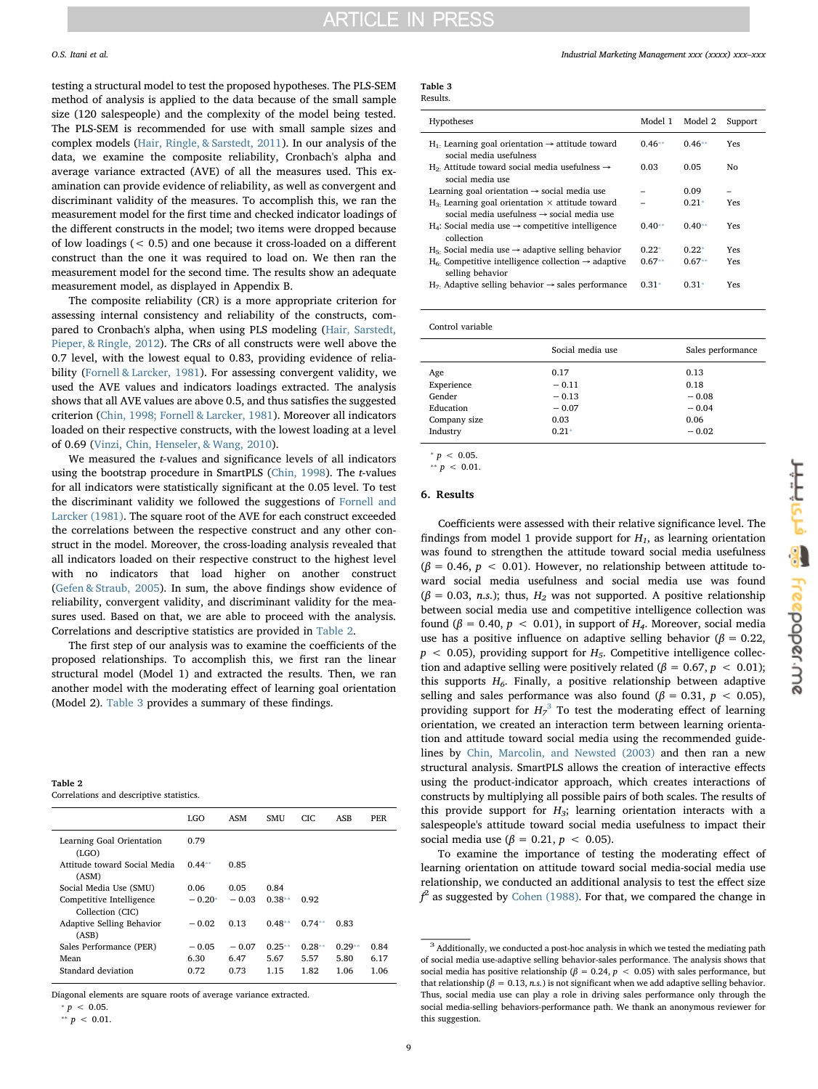testing a structural model to test the proposed hypotheses. The PLS-SEM method of analysis is applied to the data because of the small sample size (120 salespeople) and the complexity of the model being tested. The PLS-SEM is recommended for use with small sample sizes and complex models [\(Hair, Ringle, & Sarstedt, 2011](#page-13-39)). In our analysis of the data, we examine the composite reliability, Cronbach's alpha and average variance extracted (AVE) of all the measures used. This examination can provide evidence of reliability, as well as convergent and discriminant validity of the measures. To accomplish this, we ran the measurement model for the first time and checked indicator loadings of the different constructs in the model; two items were dropped because of low loadings (< 0.5) and one because it cross-loaded on a different construct than the one it was required to load on. We then ran the measurement model for the second time. The results show an adequate measurement model, as displayed in Appendix B.

The composite reliability (CR) is a more appropriate criterion for assessing internal consistency and reliability of the constructs, compared to Cronbach's alpha, when using PLS modeling [\(Hair, Sarstedt,](#page-13-40) [Pieper, & Ringle, 2012\)](#page-13-40). The CRs of all constructs were well above the 0.7 level, with the lowest equal to 0.83, providing evidence of reliability [\(Fornell & Larcker, 1981\)](#page-13-41). For assessing convergent validity, we used the AVE values and indicators loadings extracted. The analysis shows that all AVE values are above 0.5, and thus satisfies the suggested criterion [\(Chin, 1998; Fornell & Larcker, 1981](#page-13-42)). Moreover all indicators loaded on their respective constructs, with the lowest loading at a level of 0.69 ([Vinzi, Chin, Henseler, & Wang, 2010\)](#page-15-13).

We measured the t-values and significance levels of all indicators using the bootstrap procedure in SmartPLS ([Chin, 1998](#page-13-42)). The *t*-values for all indicators were statistically significant at the 0.05 level. To test the discriminant validity we followed the suggestions of [Fornell and](#page-13-41) [Larcker \(1981\)](#page-13-41). The square root of the AVE for each construct exceeded the correlations between the respective construct and any other construct in the model. Moreover, the cross-loading analysis revealed that all indicators loaded on their respective construct to the highest level with no indicators that load higher on another construct ([Gefen & Straub, 2005](#page-13-43)). In sum, the above findings show evidence of reliability, convergent validity, and discriminant validity for the measures used. Based on that, we are able to proceed with the analysis. Correlations and descriptive statistics are provided in [Table 2](#page-8-0).

The first step of our analysis was to examine the coefficients of the proposed relationships. To accomplish this, we first ran the linear structural model (Model 1) and extracted the results. Then, we ran another model with the moderating effect of learning goal orientation (Model 2). [Table 3](#page-8-1) provides a summary of these findings.

<span id="page-8-0"></span>

| Table 2                                  |  |  |
|------------------------------------------|--|--|
| Correlations and descriptive statistics. |  |  |

|                                              | LGO      | <b>ASM</b> | <b>SMU</b> | CIC.     | <b>ASB</b> | <b>PER</b> |
|----------------------------------------------|----------|------------|------------|----------|------------|------------|
| Learning Goal Orientation<br>(LGO)           | 0.79     |            |            |          |            |            |
| Attitude toward Social Media<br>(ASM)        | $0.44**$ | 0.85       |            |          |            |            |
| Social Media Use (SMU)                       | 0.06     | 0.05       | 0.84       |          |            |            |
| Competitive Intelligence<br>Collection (CIC) | $-0.20*$ | $-0.03$    | $0.38**$   | 0.92     |            |            |
| Adaptive Selling Behavior<br>(ASB)           | $-0.02$  | 0.13       | $0.48**$   | $0.74**$ | 0.83       |            |
| Sales Performance (PER)                      | $-0.05$  | $-0.07$    | $0.25**$   | $0.28**$ | $0.29**$   | 0.84       |
| Mean                                         | 6.30     | 6.47       | 5.67       | 5.57     | 5.80       | 6.17       |
| Standard deviation                           | 0.72     | 0.73       | 1.15       | 1.82     | 1.06       | 1.06       |
|                                              |          |            |            |          |            |            |

Diagonal elements are square roots of average variance extracted.

<span id="page-8-4"></span>\*  $p$  < 0.05.

#### <span id="page-8-3"></span>\*\*  $p$  < 0.01.

#### <span id="page-8-1"></span>Table 3 Results.

| Hypotheses                                                                                                           | Model 1  | Model 2  | Support |
|----------------------------------------------------------------------------------------------------------------------|----------|----------|---------|
| $H_1$ . Learning goal orientation $\rightarrow$ attitude toward<br>social media usefulness                           | $0.46**$ | $0.46**$ | Yes     |
| $H_2$ . Attitude toward social media usefulness $\rightarrow$<br>social media use                                    | 0.03     | 0.05     | Nο      |
| Learning goal orientation $\rightarrow$ social media use                                                             |          | 0.09     |         |
| $H_3$ . Learning goal orientation $\times$ attitude toward<br>social media usefulness $\rightarrow$ social media use |          | $0.21*$  | Yes     |
| $H_4$ : Social media use $\rightarrow$ competitive intelligence<br>collection                                        | $0.40**$ | $0.40**$ | Yes     |
| $H_5$ . Social media use $\rightarrow$ adaptive selling behavior                                                     | $0.22*$  | $0.22*$  | Yes     |
| $H_6$ . Competitive intelligence collection $\rightarrow$ adaptive<br>selling behavior                               | $0.67**$ | $0.67**$ | Yes     |
| $H_7$ . Adaptive selling behavior $\rightarrow$ sales performance                                                    | $0.31*$  | $0.31*$  | Yes     |

Control variable

|              | Social media use | Sales performance |
|--------------|------------------|-------------------|
| Age          | 0.17             | 0.13              |
| Experience   | $-0.11$          | 0.18              |
| Gender       | $-0.13$          | $-0.08$           |
| Education    | $-0.07$          | $-0.04$           |
| Company size | 0.03             | 0.06              |
| Industry     | $0.21*$          | $-0.02$           |
|              |                  |                   |

<span id="page-8-6"></span> $p < 0.05$ 

<span id="page-8-5"></span>\*\*  $p$  < 0.01.

#### 6. Results

Coefficients were assessed with their relative significance level. The findings from model 1 provide support for  $H_1$ , as learning orientation was found to strengthen the attitude toward social media usefulness  $(\beta = 0.46, p < 0.01)$ . However, no relationship between attitude toward social media usefulness and social media use was found  $(\beta = 0.03, n.s.)$ ; thus,  $H_2$  was not supported. A positive relationship between social media use and competitive intelligence collection was found ( $\beta = 0.40$ ,  $p < 0.01$ ), in support of  $H<sub>4</sub>$ . Moreover, social media use has a positive influence on adaptive selling behavior ( $\beta = 0.22$ ,  $p < 0.05$ ), providing support for  $H_5$ . Competitive intelligence collection and adaptive selling were positively related ( $\beta = 0.67$ ,  $p < 0.01$ ); this supports  $H_6$ . Finally, a positive relationship between adaptive selling and sales performance was also found ( $\beta = 0.31$ ,  $p < 0.05$ ), providing support for  $H_7^3$  $H_7^3$  To test the moderating effect of learning orientation, we created an interaction term between learning orientation and attitude toward social media using the recommended guidelines by [Chin, Marcolin, and Newsted \(2003\)](#page-13-44) and then ran a new structural analysis. SmartPLS allows the creation of interactive effects using the product-indicator approach, which creates interactions of constructs by multiplying all possible pairs of both scales. The results of this provide support for  $H_3$ ; learning orientation interacts with a salespeople's attitude toward social media usefulness to impact their social media use ( $\beta = 0.21$ ,  $p < 0.05$ ).

To examine the importance of testing the moderating effect of learning orientation on attitude toward social media-social media use relationship, we conducted an additional analysis to test the effect size  $f^2$  as suggested by [Cohen \(1988\).](#page-13-45) For that, we compared the change in

**HELLO COPPORTMENT** 

<span id="page-8-2"></span><sup>&</sup>lt;sup>3</sup> Additionally, we conducted a post-hoc analysis in which we tested the mediating path of social media use-adaptive selling behavior-sales performance. The analysis shows that social media has positive relationship ( $\beta = 0.24$ ,  $p < 0.05$ ) with sales performance, but that relationship ( $\beta = 0.13$ , n.s.) is not significant when we add adaptive selling behavior. Thus, social media use can play a role in driving sales performance only through the social media-selling behaviors-performance path. We thank an anonymous reviewer for this suggestion.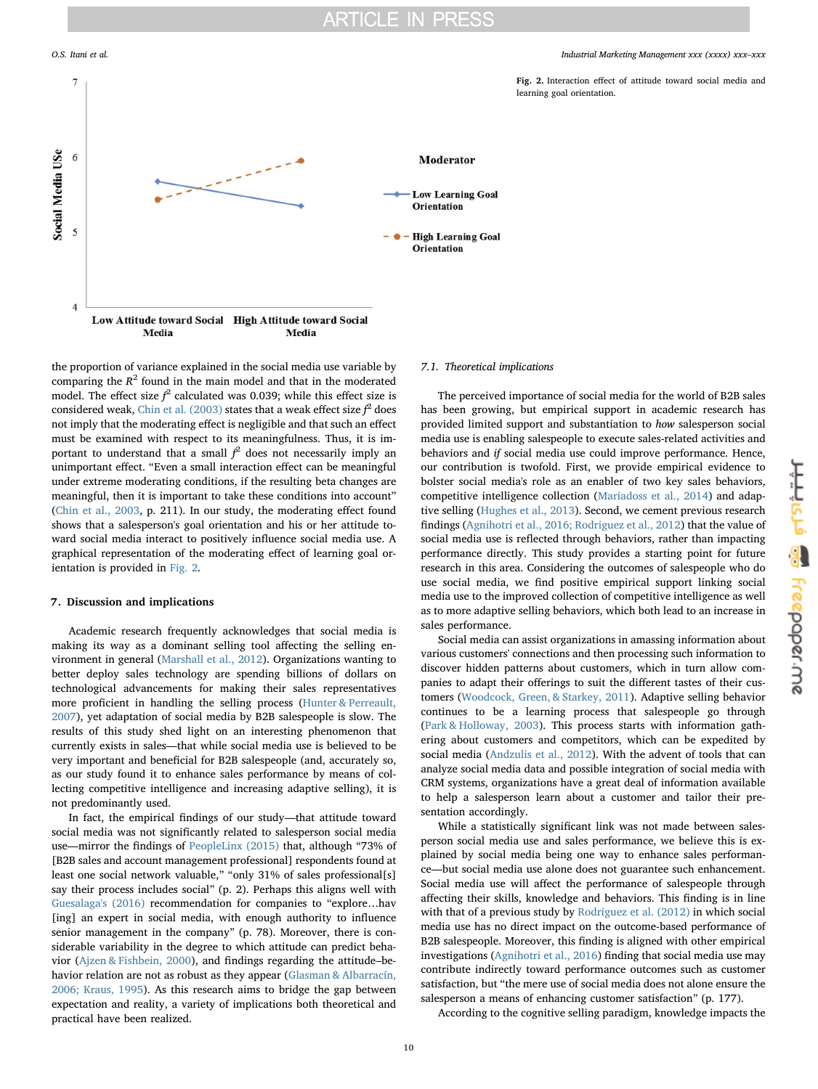<span id="page-9-0"></span> $\overline{7}$ 

#### O.S. Itani et al. *Industrial Marketing Management xxx (xxxx) xxx–xxx*

Fig. 2. Interaction effect of attitude toward social media and learning goal orientation.



the proportion of variance explained in the social media use variable by comparing the  $R^2$  found in the main model and that in the moderated model. The effect size  $f^2$  calculated was 0.039; while this effect size is considered weak, [Chin et al. \(2003\)](#page-13-44) states that a weak effect size  $f^2$  does not imply that the moderating effect is negligible and that such an effect must be examined with respect to its meaningfulness. Thus, it is important to understand that a small  $f^2$  does not necessarily imply an unimportant effect. "Even a small interaction effect can be meaningful under extreme moderating conditions, if the resulting beta changes are meaningful, then it is important to take these conditions into account" ([Chin et al., 2003,](#page-13-44) p. 211). In our study, the moderating effect found shows that a salesperson's goal orientation and his or her attitude toward social media interact to positively influence social media use. A graphical representation of the moderating effect of learning goal orientation is provided in [Fig. 2](#page-9-0).

### 7. Discussion and implications

Academic research frequently acknowledges that social media is making its way as a dominant selling tool affecting the selling environment in general ([Marshall et al., 2012](#page-14-8)). Organizations wanting to better deploy sales technology are spending billions of dollars on technological advancements for making their sales representatives more proficient in handling the selling process ([Hunter & Perreault,](#page-14-36) [2007\)](#page-14-36), yet adaptation of social media by B2B salespeople is slow. The results of this study shed light on an interesting phenomenon that currently exists in sales—that while social media use is believed to be very important and beneficial for B2B salespeople (and, accurately so, as our study found it to enhance sales performance by means of collecting competitive intelligence and increasing adaptive selling), it is not predominantly used.

In fact, the empirical findings of our study—that attitude toward social media was not significantly related to salesperson social media use—mirror the findings of [PeopleLinx \(2015\)](#page-14-5) that, although "73% of [B2B sales and account management professional] respondents found at least one social network valuable," "only 31% of sales professional[s] say their process includes social" (p. 2). Perhaps this aligns well with [Guesalaga's \(2016\)](#page-13-46) recommendation for companies to "explore…hav [ing] an expert in social media, with enough authority to influence senior management in the company" (p. 78). Moreover, there is considerable variability in the degree to which attitude can predict behavior ([Ajzen & Fishbein, 2000](#page-13-47)), and findings regarding the attitude–behavior relation are not as robust as they appear [\(Glasman & Albarracín,](#page-13-48) [2006; Kraus, 1995](#page-13-48)). As this research aims to bridge the gap between expectation and reality, a variety of implications both theoretical and practical have been realized.

#### 7.1. Theoretical implications

The perceived importance of social media for the world of B2B sales has been growing, but empirical support in academic research has provided limited support and substantiation to how salesperson social media use is enabling salespeople to execute sales-related activities and behaviors and if social media use could improve performance. Hence, our contribution is twofold. First, we provide empirical evidence to bolster social media's role as an enabler of two key sales behaviors, competitive intelligence collection ([Mariadoss et al., 2014\)](#page-14-27) and adaptive selling [\(Hughes et al., 2013\)](#page-14-29). Second, we cement previous research findings ([Agnihotri et al., 2016; Rodriguez et al., 2012\)](#page-13-3) that the value of social media use is reflected through behaviors, rather than impacting performance directly. This study provides a starting point for future research in this area. Considering the outcomes of salespeople who do use social media, we find positive empirical support linking social media use to the improved collection of competitive intelligence as well as to more adaptive selling behaviors, which both lead to an increase in sales performance.

Social media can assist organizations in amassing information about various customers' connections and then processing such information to discover hidden patterns about customers, which in turn allow companies to adapt their offerings to suit the different tastes of their customers [\(Woodcock, Green, & Starkey, 2011\)](#page-15-14). Adaptive selling behavior continues to be a learning process that salespeople go through ([Park & Holloway, 2003](#page-14-49)). This process starts with information gathering about customers and competitors, which can be expedited by social media ([Andzulis et al., 2012\)](#page-13-2). With the advent of tools that can analyze social media data and possible integration of social media with CRM systems, organizations have a great deal of information available to help a salesperson learn about a customer and tailor their presentation accordingly.

While a statistically significant link was not made between salesperson social media use and sales performance, we believe this is explained by social media being one way to enhance sales performance—but social media use alone does not guarantee such enhancement. Social media use will affect the performance of salespeople through affecting their skills, knowledge and behaviors. This finding is in line with that of a previous study by [Rodriguez et al. \(2012\)](#page-14-20) in which social media use has no direct impact on the outcome-based performance of B2B salespeople. Moreover, this finding is aligned with other empirical investigations [\(Agnihotri et al., 2016](#page-13-3)) finding that social media use may contribute indirectly toward performance outcomes such as customer satisfaction, but "the mere use of social media does not alone ensure the salesperson a means of enhancing customer satisfaction" (p. 177).

According to the cognitive selling paradigm, knowledge impacts the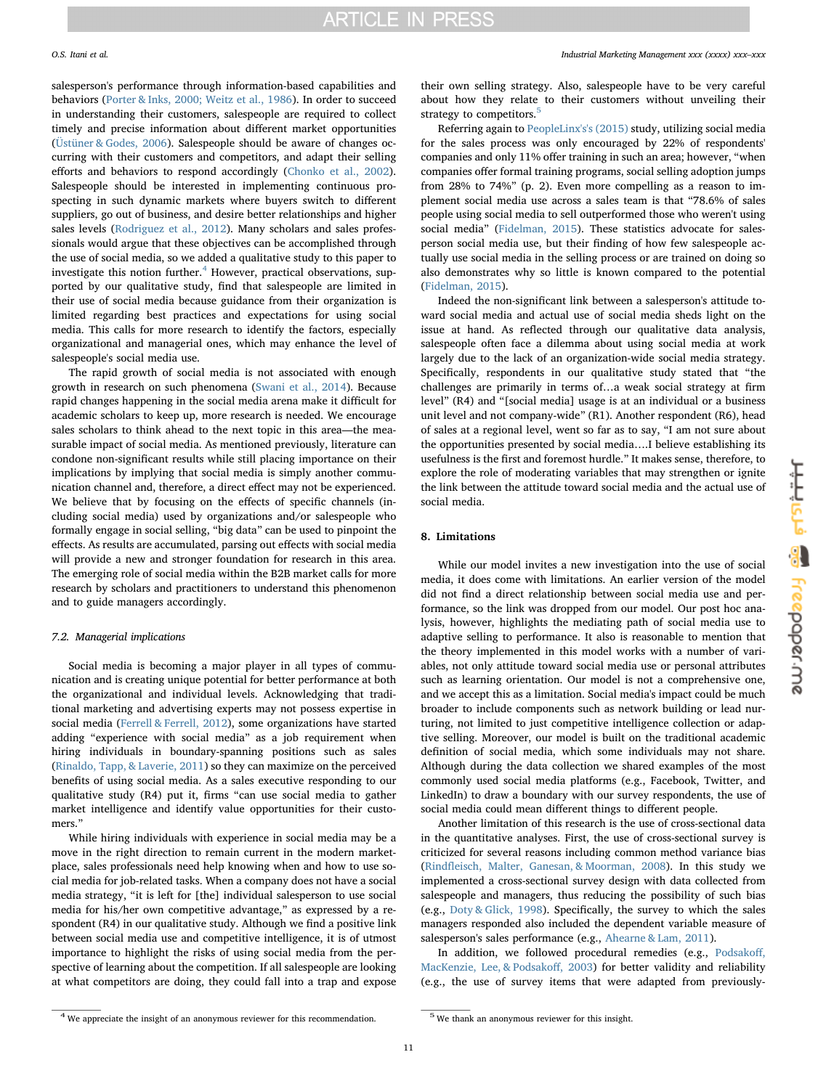salesperson's performance through information-based capabilities and behaviors [\(Porter & Inks, 2000; Weitz et al., 1986\)](#page-14-50). In order to succeed in understanding their customers, salespeople are required to collect timely and precise information about different market opportunities ([Üstüner & Godes, 2006\)](#page-15-15). Salespeople should be aware of changes occurring with their customers and competitors, and adapt their selling efforts and behaviors to respond accordingly [\(Chonko et al., 2002](#page-13-19)). Salespeople should be interested in implementing continuous prospecting in such dynamic markets where buyers switch to different suppliers, go out of business, and desire better relationships and higher sales levels ([Rodriguez et al., 2012\)](#page-14-20). Many scholars and sales professionals would argue that these objectives can be accomplished through the use of social media, so we added a qualitative study to this paper to investigate this notion further. $4$  However, practical observations, supported by our qualitative study, find that salespeople are limited in their use of social media because guidance from their organization is limited regarding best practices and expectations for using social media. This calls for more research to identify the factors, especially organizational and managerial ones, which may enhance the level of salespeople's social media use.

The rapid growth of social media is not associated with enough growth in research on such phenomena [\(Swani et al., 2014](#page-15-4)). Because rapid changes happening in the social media arena make it difficult for academic scholars to keep up, more research is needed. We encourage sales scholars to think ahead to the next topic in this area—the measurable impact of social media. As mentioned previously, literature can condone non-significant results while still placing importance on their implications by implying that social media is simply another communication channel and, therefore, a direct effect may not be experienced. We believe that by focusing on the effects of specific channels (including social media) used by organizations and/or salespeople who formally engage in social selling, "big data" can be used to pinpoint the effects. As results are accumulated, parsing out effects with social media will provide a new and stronger foundation for research in this area. The emerging role of social media within the B2B market calls for more research by scholars and practitioners to understand this phenomenon and to guide managers accordingly.

#### 7.2. Managerial implications

Social media is becoming a major player in all types of communication and is creating unique potential for better performance at both the organizational and individual levels. Acknowledging that traditional marketing and advertising experts may not possess expertise in social media ([Ferrell & Ferrell, 2012\)](#page-13-49), some organizations have started adding "experience with social media" as a job requirement when hiring individuals in boundary-spanning positions such as sales ([Rinaldo, Tapp, & Laverie, 2011\)](#page-14-51) so they can maximize on the perceived benefits of using social media. As a sales executive responding to our qualitative study (R4) put it, firms "can use social media to gather market intelligence and identify value opportunities for their customers."

While hiring individuals with experience in social media may be a move in the right direction to remain current in the modern marketplace, sales professionals need help knowing when and how to use social media for job-related tasks. When a company does not have a social media strategy, "it is left for [the] individual salesperson to use social media for his/her own competitive advantage," as expressed by a respondent (R4) in our qualitative study. Although we find a positive link between social media use and competitive intelligence, it is of utmost importance to highlight the risks of using social media from the perspective of learning about the competition. If all salespeople are looking at what competitors are doing, they could fall into a trap and expose

their own selling strategy. Also, salespeople have to be very careful about how they relate to their customers without unveiling their strategy to competitors.<sup>[5](#page-10-1)</sup>

Referring again to [PeopleLinx's's \(2015\)](#page-14-5) study, utilizing social media for the sales process was only encouraged by 22% of respondents' companies and only 11% offer training in such an area; however, "when companies offer formal training programs, social selling adoption jumps from 28% to 74%" (p. 2). Even more compelling as a reason to implement social media use across a sales team is that "78.6% of sales people using social media to sell outperformed those who weren't using social media" [\(Fidelman, 2015](#page-13-50)). These statistics advocate for salesperson social media use, but their finding of how few salespeople actually use social media in the selling process or are trained on doing so also demonstrates why so little is known compared to the potential ([Fidelman, 2015](#page-13-50)).

Indeed the non-significant link between a salesperson's attitude toward social media and actual use of social media sheds light on the issue at hand. As reflected through our qualitative data analysis, salespeople often face a dilemma about using social media at work largely due to the lack of an organization-wide social media strategy. Specifically, respondents in our qualitative study stated that "the challenges are primarily in terms of…a weak social strategy at firm level" (R4) and "[social media] usage is at an individual or a business unit level and not company-wide" (R1). Another respondent (R6), head of sales at a regional level, went so far as to say, "I am not sure about the opportunities presented by social media….I believe establishing its usefulness is the first and foremost hurdle." It makes sense, therefore, to explore the role of moderating variables that may strengthen or ignite the link between the attitude toward social media and the actual use of social media.

### 8. Limitations

While our model invites a new investigation into the use of social media, it does come with limitations. An earlier version of the model did not find a direct relationship between social media use and performance, so the link was dropped from our model. Our post hoc analysis, however, highlights the mediating path of social media use to adaptive selling to performance. It also is reasonable to mention that the theory implemented in this model works with a number of variables, not only attitude toward social media use or personal attributes such as learning orientation. Our model is not a comprehensive one, and we accept this as a limitation. Social media's impact could be much broader to include components such as network building or lead nurturing, not limited to just competitive intelligence collection or adaptive selling. Moreover, our model is built on the traditional academic definition of social media, which some individuals may not share. Although during the data collection we shared examples of the most commonly used social media platforms (e.g., Facebook, Twitter, and LinkedIn) to draw a boundary with our survey respondents, the use of social media could mean different things to different people.

Another limitation of this research is the use of cross-sectional data in the quantitative analyses. First, the use of cross-sectional survey is criticized for several reasons including common method variance bias (Rindfl[eisch, Malter, Ganesan, & Moorman, 2008](#page-14-52)). In this study we implemented a cross-sectional survey design with data collected from salespeople and managers, thus reducing the possibility of such bias (e.g., [Doty & Glick, 1998](#page-13-51)). Specifically, the survey to which the sales managers responded also included the dependent variable measure of salesperson's sales performance (e.g., [Ahearne & Lam, 2011\)](#page-13-52).

In addition, we followed procedural remedies (e.g., [Podsako](#page-14-53)ff, [MacKenzie, Lee, & Podsako](#page-14-53)ff, 2003) for better validity and reliability (e.g., the use of survey items that were adapted from previously-

<span id="page-10-0"></span><sup>&</sup>lt;sup>4</sup> We appreciate the insight of an anonymous reviewer for this recommendation. <sup>5</sup> We thank an anonymous reviewer for this insight.

<span id="page-10-1"></span>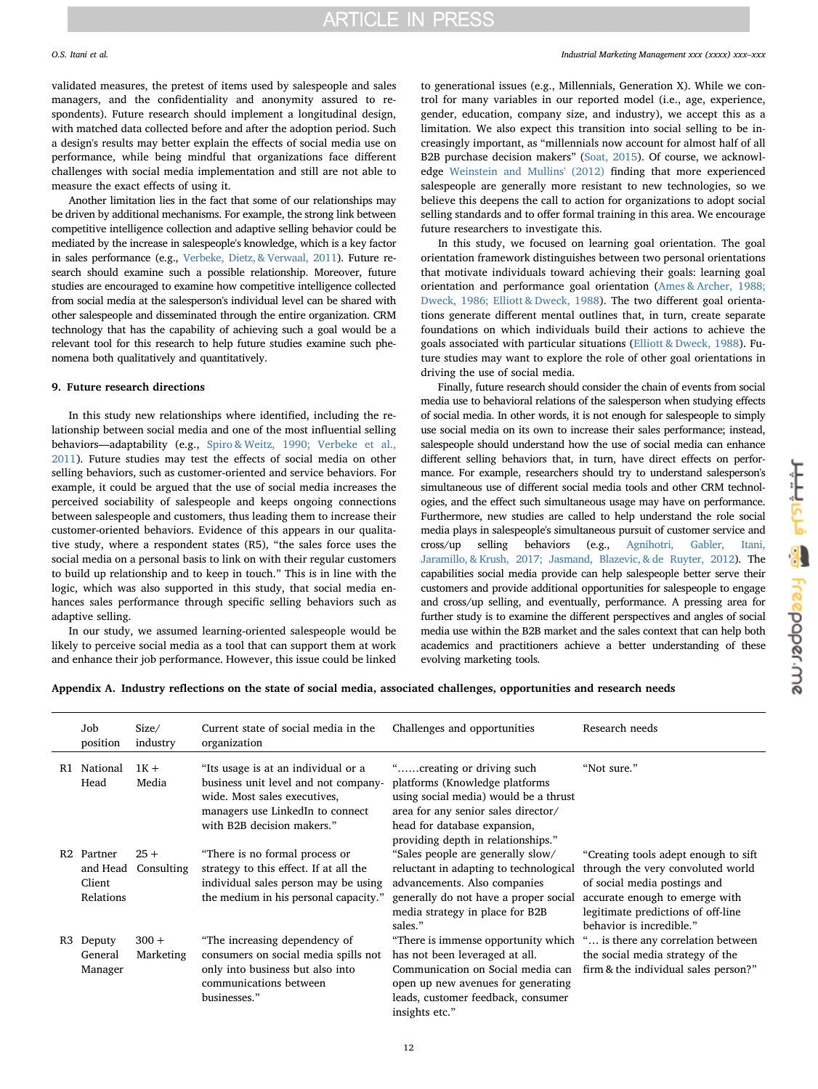validated measures, the pretest of items used by salespeople and sales managers, and the confidentiality and anonymity assured to respondents). Future research should implement a longitudinal design, with matched data collected before and after the adoption period. Such a design's results may better explain the effects of social media use on performance, while being mindful that organizations face different challenges with social media implementation and still are not able to measure the exact effects of using it.

Another limitation lies in the fact that some of our relationships may be driven by additional mechanisms. For example, the strong link between competitive intelligence collection and adaptive selling behavior could be mediated by the increase in salespeople's knowledge, which is a key factor in sales performance (e.g., [Verbeke, Dietz, & Verwaal, 2011](#page-15-16)). Future research should examine such a possible relationship. Moreover, future studies are encouraged to examine how competitive intelligence collected from social media at the salesperson's individual level can be shared with other salespeople and disseminated through the entire organization. CRM technology that has the capability of achieving such a goal would be a relevant tool for this research to help future studies examine such phenomena both qualitatively and quantitatively.

### 9. Future research directions

In this study new relationships where identified, including the relationship between social media and one of the most influential selling behaviors—adaptability (e.g., [Spiro & Weitz, 1990; Verbeke et al.,](#page-15-12) [2011\)](#page-15-12). Future studies may test the effects of social media on other selling behaviors, such as customer-oriented and service behaviors. For example, it could be argued that the use of social media increases the perceived sociability of salespeople and keeps ongoing connections between salespeople and customers, thus leading them to increase their customer-oriented behaviors. Evidence of this appears in our qualitative study, where a respondent states (R5), "the sales force uses the social media on a personal basis to link on with their regular customers to build up relationship and to keep in touch." This is in line with the logic, which was also supported in this study, that social media enhances sales performance through specific selling behaviors such as adaptive selling.

In our study, we assumed learning-oriented salespeople would be likely to perceive social media as a tool that can support them at work and enhance their job performance. However, this issue could be linked

#### O.S. Itani et al. *Industrial Marketing Management xxx (xxxx) xxx–xxx*

to generational issues (e.g., Millennials, Generation X). While we control for many variables in our reported model (i.e., age, experience, gender, education, company size, and industry), we accept this as a limitation. We also expect this transition into social selling to be increasingly important, as "millennials now account for almost half of all B2B purchase decision makers" ([Soat, 2015](#page-15-17)). Of course, we acknowledge [Weinstein and Mullins' \(2012\)](#page-15-18) finding that more experienced salespeople are generally more resistant to new technologies, so we believe this deepens the call to action for organizations to adopt social selling standards and to offer formal training in this area. We encourage future researchers to investigate this.

In this study, we focused on learning goal orientation. The goal orientation framework distinguishes between two personal orientations that motivate individuals toward achieving their goals: learning goal orientation and performance goal orientation ([Ames & Archer, 1988;](#page-13-18) [Dweck, 1986; Elliott & Dweck, 1988\)](#page-13-18). The two different goal orientations generate different mental outlines that, in turn, create separate foundations on which individuals build their actions to achieve the goals associated with particular situations ([Elliott & Dweck, 1988](#page-13-53)). Future studies may want to explore the role of other goal orientations in driving the use of social media.

Finally, future research should consider the chain of events from social media use to behavioral relations of the salesperson when studying effects of social media. In other words, it is not enough for salespeople to simply use social media on its own to increase their sales performance; instead, salespeople should understand how the use of social media can enhance different selling behaviors that, in turn, have direct effects on performance. For example, researchers should try to understand salesperson's simultaneous use of different social media tools and other CRM technologies, and the effect such simultaneous usage may have on performance. Furthermore, new studies are called to help understand the role social media plays in salespeople's simultaneous pursuit of customer service and cross/up selling behaviors (e.g., [Agnihotri, Gabler, Itani,](#page-13-54) [Jaramillo, & Krush, 2017; Jasmand, Blazevic, & de Ruyter, 2012](#page-13-54)). The capabilities social media provide can help salespeople better serve their customers and provide additional opportunities for salespeople to engage and cross/up selling, and eventually, performance. A pressing area for further study is to examine the different perspectives and angles of social media use within the B2B market and the sales context that can help both academics and practitioners achieve a better understanding of these evolving marketing tools.

## Appendix A. Industry reflections on the state of social media, associated challenges, opportunities and research needs

|    | Job<br>position                            | Size/<br>industry    | Current state of social media in the<br>organization                                                                                                                          | Challenges and opportunities                                                                                                                                                                                      | Research needs                                                                                                                                                                                                |
|----|--------------------------------------------|----------------------|-------------------------------------------------------------------------------------------------------------------------------------------------------------------------------|-------------------------------------------------------------------------------------------------------------------------------------------------------------------------------------------------------------------|---------------------------------------------------------------------------------------------------------------------------------------------------------------------------------------------------------------|
| R1 | National<br>Head                           | $1K +$<br>Media      | "Its usage is at an individual or a<br>business unit level and not company-<br>wide. Most sales executives,<br>managers use LinkedIn to connect<br>with B2B decision makers." | "creating or driving such<br>platforms (Knowledge platforms<br>using social media) would be a thrust<br>area for any senior sales director/<br>head for database expansion,<br>providing depth in relationships." | "Not sure."                                                                                                                                                                                                   |
| R2 | Partner<br>and Head<br>Client<br>Relations | $25+$<br>Consulting  | "There is no formal process or<br>strategy to this effect. If at all the<br>individual sales person may be using<br>the medium in his personal capacity."                     | "Sales people are generally slow/<br>reluctant in adapting to technological<br>advancements. Also companies<br>generally do not have a proper social<br>media strategy in place for B2B<br>sales."                | "Creating tools adept enough to sift<br>through the very convoluted world<br>of social media postings and<br>accurate enough to emerge with<br>legitimate predictions of off-line<br>behavior is incredible." |
| R3 | Deputy<br>General<br>Manager               | $300 +$<br>Marketing | "The increasing dependency of<br>consumers on social media spills not<br>only into business but also into<br>communications between<br>businesses."                           | "There is immense opportunity which<br>has not been leveraged at all.<br>Communication on Social media can<br>open up new avenues for generating<br>leads, customer feedback, consumer<br>insights etc."          | " is there any correlation between<br>the social media strategy of the<br>firm & the individual sales person?"                                                                                                |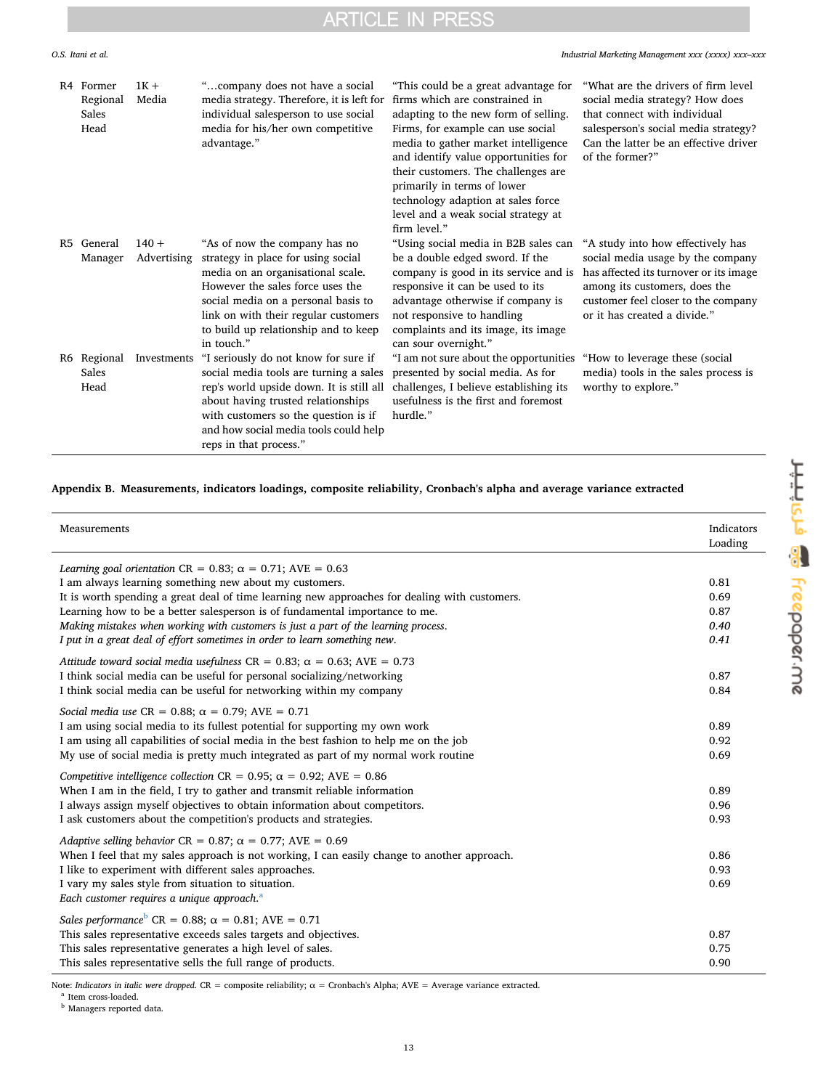## O.S. Itani et al. *Industrial Marketing Management xxx (xxxx) xxx–xxx*

|           | R4 Former<br>Regional<br>Sales<br>Head | $1K +$<br>Media        | "company does not have a social"<br>media strategy. Therefore, it is left for<br>individual salesperson to use social<br>media for his/her own competitive<br>advantage."                                                                                                         | "This could be a great advantage for<br>firms which are constrained in<br>adapting to the new form of selling.<br>Firms, for example can use social<br>media to gather market intelligence<br>and identify value opportunities for<br>their customers. The challenges are<br>primarily in terms of lower<br>technology adaption at sales force<br>level and a weak social strategy at<br>firm level." | "What are the drivers of firm level<br>social media strategy? How does<br>that connect with individual<br>salesperson's social media strategy?<br>Can the latter be an effective driver<br>of the former?"               |
|-----------|----------------------------------------|------------------------|-----------------------------------------------------------------------------------------------------------------------------------------------------------------------------------------------------------------------------------------------------------------------------------|-------------------------------------------------------------------------------------------------------------------------------------------------------------------------------------------------------------------------------------------------------------------------------------------------------------------------------------------------------------------------------------------------------|--------------------------------------------------------------------------------------------------------------------------------------------------------------------------------------------------------------------------|
| <b>R5</b> | General<br>Manager                     | $140 +$<br>Advertising | "As of now the company has no<br>strategy in place for using social<br>media on an organisational scale.<br>However the sales force uses the<br>social media on a personal basis to<br>link on with their regular customers<br>to build up relationship and to keep<br>in touch." | "Using social media in B2B sales can<br>be a double edged sword. If the<br>company is good in its service and is<br>responsive it can be used to its<br>advantage otherwise if company is<br>not responsive to handling<br>complaints and its image, its image<br>can sour overnight."                                                                                                                | "A study into how effectively has<br>social media usage by the company<br>has affected its turnover or its image<br>among its customers, does the<br>customer feel closer to the company<br>or it has created a divide." |
|           | R6 Regional<br>Sales<br>Head           | Investments            | "I seriously do not know for sure if<br>social media tools are turning a sales<br>rep's world upside down. It is still all<br>about having trusted relationships<br>with customers so the question is if<br>and how social media tools could help<br>reps in that process."       | "I am not sure about the opportunities<br>presented by social media. As for<br>challenges, I believe establishing its<br>usefulness is the first and foremost<br>hurdle."                                                                                                                                                                                                                             | "How to leverage these (social<br>media) tools in the sales process is<br>worthy to explore."                                                                                                                            |

# Appendix B. Measurements, indicators loadings, composite reliability, Cronbach's alpha and average variance extracted

| Measurements                                                                                  | Indicators<br>Loading |
|-----------------------------------------------------------------------------------------------|-----------------------|
| Learning goal orientation CR = 0.83; $\alpha$ = 0.71; AVE = 0.63                              |                       |
| I am always learning something new about my customers.                                        | 0.81                  |
| It is worth spending a great deal of time learning new approaches for dealing with customers. | 0.69                  |
| Learning how to be a better salesperson is of fundamental importance to me.                   | 0.87                  |
| Making mistakes when working with customers is just a part of the learning process.           | 0.40                  |
| I put in a great deal of effort sometimes in order to learn something new.                    | 0.41                  |
| Attitude toward social media usefulness CR = 0.83; $\alpha$ = 0.63; AVE = 0.73                |                       |
| I think social media can be useful for personal socializing/networking                        | 0.87                  |
| I think social media can be useful for networking within my company                           | 0.84                  |
| Social media use CR = 0.88; $\alpha$ = 0.79; AVE = 0.71                                       |                       |
| I am using social media to its fullest potential for supporting my own work                   | 0.89                  |
| I am using all capabilities of social media in the best fashion to help me on the job         | 0.92                  |
| My use of social media is pretty much integrated as part of my normal work routine            | 0.69                  |
| Competitive intelligence collection CR = 0.95; $\alpha$ = 0.92; AVE = 0.86                    |                       |
| When I am in the field, I try to gather and transmit reliable information                     | 0.89                  |
| I always assign myself objectives to obtain information about competitors.                    | 0.96                  |
| I ask customers about the competition's products and strategies.                              | 0.93                  |
| Adaptive selling behavior CR = 0.87; $\alpha$ = 0.77; AVE = 0.69                              |                       |
| When I feel that my sales approach is not working, I can easily change to another approach.   | 0.86                  |
| I like to experiment with different sales approaches.                                         | 0.93                  |
| I vary my sales style from situation to situation.                                            | 0.69                  |
| Each customer requires a unique approach. <sup>a</sup>                                        |                       |
| Sales performance <sup>b</sup> CR = 0.88; $\alpha$ = 0.81; AVE = 0.71                         |                       |
| This sales representative exceeds sales targets and objectives.                               | 0.87                  |
| This sales representative generates a high level of sales.                                    | 0.75                  |
| This sales representative sells the full range of products.                                   | 0.90                  |

Note: Indicators in italic were dropped. CR = composite reliability;  $\alpha$  = Cronbach's Alpha; AVE = Average variance extracted.

<span id="page-12-0"></span> $^{\rm a}$  Item cross-loaded.  $^{\rm b}$  Managers reported data.

<span id="page-12-1"></span>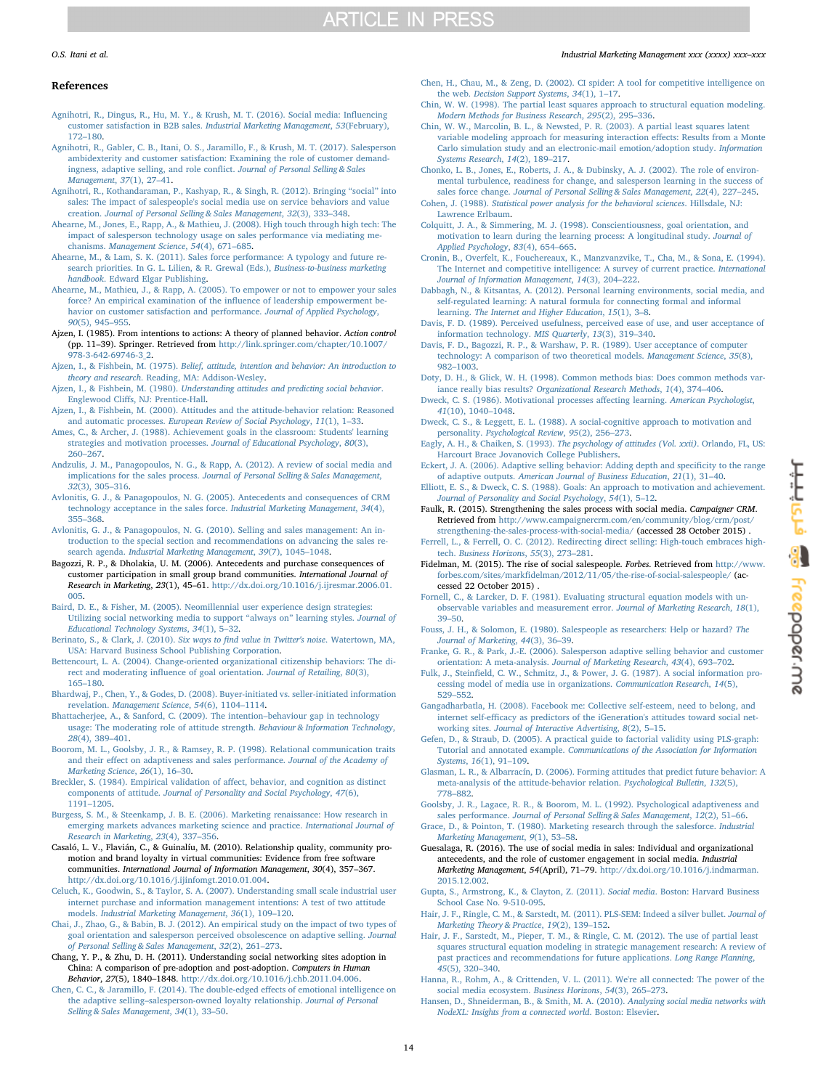### O.S. Itani et al. *Industrial Marketing Management xxx (xxxx) xxx–xxx*

#### References

- <span id="page-13-3"></span>[Agnihotri, R., Dingus, R., Hu, M. Y., & Krush, M. T. \(2016\). Social media: In](http://refhub.elsevier.com/S0019-8501(17)30482-0/rf0005)fluencing [customer satisfaction in B2B sales.](http://refhub.elsevier.com/S0019-8501(17)30482-0/rf0005) Industrial Marketing Management, 53(February), 172–[180](http://refhub.elsevier.com/S0019-8501(17)30482-0/rf0005).
- <span id="page-13-54"></span>[Agnihotri, R., Gabler, C. B., Itani, O. S., Jaramillo, F., & Krush, M. T. \(2017\). Salesperson](http://refhub.elsevier.com/S0019-8501(17)30482-0/rf0010) [ambidexterity and customer satisfaction: Examining the role of customer demand](http://refhub.elsevier.com/S0019-8501(17)30482-0/rf0010)[ingness, adaptive selling, and role con](http://refhub.elsevier.com/S0019-8501(17)30482-0/rf0010)flict. Journal of Personal Selling & Sales [Management](http://refhub.elsevier.com/S0019-8501(17)30482-0/rf0010), 37(1), 27–41.
- <span id="page-13-0"></span>[Agnihotri, R., Kothandaraman, P., Kashyap, R., & Singh, R. \(2012\). Bringing](http://refhub.elsevier.com/S0019-8501(17)30482-0/rf0015) "social" into [sales: The impact of salespeople's social media use on service behaviors and value](http://refhub.elsevier.com/S0019-8501(17)30482-0/rf0015) creation. [Journal of Personal Selling & Sales Management](http://refhub.elsevier.com/S0019-8501(17)30482-0/rf0015), 32(3), 333–348.
- <span id="page-13-30"></span>[Ahearne, M., Jones, E., Rapp, A., & Mathieu, J. \(2008\). High touch through high tech: The](http://refhub.elsevier.com/S0019-8501(17)30482-0/rf0020) [impact of salesperson technology usage on sales performance via mediating me](http://refhub.elsevier.com/S0019-8501(17)30482-0/rf0020)chanisms. [Management Science](http://refhub.elsevier.com/S0019-8501(17)30482-0/rf0020), 54(4), 671–685.
- <span id="page-13-52"></span>[Ahearne, M., & Lam, S. K. \(2011\). Sales force performance: A typology and future re](http://refhub.elsevier.com/S0019-8501(17)30482-0/rf0025)[search priorities. In G. L. Lilien, & R. Grewal \(Eds.\),](http://refhub.elsevier.com/S0019-8501(17)30482-0/rf0025) Business-to-business marketing handbook[. Edward Elgar Publishing](http://refhub.elsevier.com/S0019-8501(17)30482-0/rf0025).
- <span id="page-13-35"></span>[Ahearne, M., Mathieu, J., & Rapp, A. \(2005\). To empower or not to empower your sales](http://refhub.elsevier.com/S0019-8501(17)30482-0/rf0030) [force? An empirical examination of the in](http://refhub.elsevier.com/S0019-8501(17)30482-0/rf0030)fluence of leadership empowerment be[havior on customer satisfaction and performance.](http://refhub.elsevier.com/S0019-8501(17)30482-0/rf0030) Journal of Applied Psychology, 90[\(5\), 945](http://refhub.elsevier.com/S0019-8501(17)30482-0/rf0030)–955.
- <span id="page-13-9"></span>Ajzen, I. (1985). From intentions to actions: A theory of planned behavior. Action control (pp. 11–39). Springer. Retrieved from [http://link.springer.com/chapter/10.1007/](http://link.springer.com/chapter/10.1007/978-3-642-69746-3_2) [978-3-642-69746-3\\_2](http://link.springer.com/chapter/10.1007/978-3-642-69746-3_2).
- <span id="page-13-6"></span>Ajzen, I., & Fishbein, M. (1975). [Belief, attitude, intention and behavior: An introduction to](http://refhub.elsevier.com/S0019-8501(17)30482-0/rf0040) theory and research[. Reading, MA: Addison-Wesley](http://refhub.elsevier.com/S0019-8501(17)30482-0/rf0040).
- Ajzen, I., & Fishbein, M. (1980). [Understanding attitudes and predicting social behavior](http://refhub.elsevier.com/S0019-8501(17)30482-0/rf0045). Englewood Cliff[s, NJ: Prentice-Hall.](http://refhub.elsevier.com/S0019-8501(17)30482-0/rf0045)
- <span id="page-13-47"></span>[Ajzen, I., & Fishbein, M. \(2000\). Attitudes and the attitude-behavior relation: Reasoned](http://refhub.elsevier.com/S0019-8501(17)30482-0/rf0050) and automatic processes. [European Review of Social Psychology](http://refhub.elsevier.com/S0019-8501(17)30482-0/rf0050), 11(1), 1–33.
- <span id="page-13-18"></span>[Ames, C., & Archer, J. \(1988\). Achievement goals in the classroom: Students' learning](http://refhub.elsevier.com/S0019-8501(17)30482-0/rf0055) [strategies and motivation processes.](http://refhub.elsevier.com/S0019-8501(17)30482-0/rf0055) Journal of Educational Psychology, 80(3), 260–[267](http://refhub.elsevier.com/S0019-8501(17)30482-0/rf0055).
- <span id="page-13-2"></span>Andzulis, [J. M., Panagopoulos, N. G., & Rapp, A. \(2012\). A review of social media and](http://refhub.elsevier.com/S0019-8501(17)30482-0/rf0060) implications for the sales process. [Journal of Personal Selling & Sales Management](http://refhub.elsevier.com/S0019-8501(17)30482-0/rf0060), 32[\(3\), 305](http://refhub.elsevier.com/S0019-8501(17)30482-0/rf0060)–316.
- <span id="page-13-22"></span>[Avlonitis, G. J., & Panagopoulos, N. G. \(2005\). Antecedents and consequences of CRM](http://refhub.elsevier.com/S0019-8501(17)30482-0/rf0065) [technology acceptance in the sales force.](http://refhub.elsevier.com/S0019-8501(17)30482-0/rf0065) Industrial Marketing Management, 34(4), 355–[368](http://refhub.elsevier.com/S0019-8501(17)30482-0/rf0065).
- <span id="page-13-1"></span>[Avlonitis, G. J., & Panagopoulos, N. G. \(2010\). Selling and sales management: An in](http://refhub.elsevier.com/S0019-8501(17)30482-0/rf0070)[troduction to the special section and recommendations on advancing the sales re](http://refhub.elsevier.com/S0019-8501(17)30482-0/rf0070)search agenda. [Industrial Marketing Management](http://refhub.elsevier.com/S0019-8501(17)30482-0/rf0070), 39(7), 1045–1048.
- <span id="page-13-23"></span>Bagozzi, R. P., & Dholakia, U. M. (2006). Antecedents and purchase consequences of customer participation in small group brand communities. International Journal of Research in Marketing, 23(1), 45–61. [http://dx.doi.org/10.1016/j.ijresmar.2006.01.](http://dx.doi.org/10.1016/j.ijresmar.2006.01.005) [005](http://dx.doi.org/10.1016/j.ijresmar.2006.01.005).
- <span id="page-13-5"></span>[Baird, D. E., & Fisher, M. \(2005\). Neomillennial user experience design strategies:](http://refhub.elsevier.com/S0019-8501(17)30482-0/rf0080) [Utilizing social networking media to support](http://refhub.elsevier.com/S0019-8501(17)30482-0/rf0080) "always on" learning styles. Journal of [Educational Technology Systems](http://refhub.elsevier.com/S0019-8501(17)30482-0/rf0080), 34(1), 5–32.
- <span id="page-13-29"></span>[Berinato, S., & Clark, J. \(2010\).](http://refhub.elsevier.com/S0019-8501(17)30482-0/rf0085) Six ways to find value in Twitter's noise. Watertown, MA, [USA: Harvard Business School Publishing Corporation.](http://refhub.elsevier.com/S0019-8501(17)30482-0/rf0085)
- <span id="page-13-17"></span>[Bettencourt, L. A. \(2004\). Change-oriented organizational citizenship behaviors: The di](http://refhub.elsevier.com/S0019-8501(17)30482-0/rf0090)rect and moderating infl[uence of goal orientation.](http://refhub.elsevier.com/S0019-8501(17)30482-0/rf0090) Journal of Retailing, 80(3), 165–[180](http://refhub.elsevier.com/S0019-8501(17)30482-0/rf0090).
- <span id="page-13-28"></span>[Bhardwaj, P., Chen, Y., & Godes, D. \(2008\). Buyer-initiated vs. seller-initiated information](http://refhub.elsevier.com/S0019-8501(17)30482-0/rf0095) revelation. [Management Science](http://refhub.elsevier.com/S0019-8501(17)30482-0/rf0095), 54(6), 1104–1114.
- <span id="page-13-15"></span>[Bhattacherjee, A., & Sanford, C. \(2009\). The intention](http://refhub.elsevier.com/S0019-8501(17)30482-0/rf0100)–behaviour gap in technology [usage: The moderating role of attitude strength.](http://refhub.elsevier.com/S0019-8501(17)30482-0/rf0100) Behaviour & Information Technology, 28[\(4\), 389](http://refhub.elsevier.com/S0019-8501(17)30482-0/rf0100)–401.
- <span id="page-13-36"></span>[Boorom, M. L., Goolsby, J. R., & Ramsey, R. P. \(1998\). Relational communication traits](http://refhub.elsevier.com/S0019-8501(17)30482-0/rf0105) and their effect [on adaptiveness and sales performance.](http://refhub.elsevier.com/S0019-8501(17)30482-0/rf0105) Journal of the Academy of [Marketing Science](http://refhub.elsevier.com/S0019-8501(17)30482-0/rf0105), 26(1), 16–30.
- <span id="page-13-11"></span>[Breckler, S. \(1984\). Empirical validation of a](http://refhub.elsevier.com/S0019-8501(17)30482-0/rf0110)ffect, behavior, and cognition as distinct components of attitude. [Journal of Personality and Social Psychology](http://refhub.elsevier.com/S0019-8501(17)30482-0/rf0110), 47(6), [1191](http://refhub.elsevier.com/S0019-8501(17)30482-0/rf0110)–1205.
- <span id="page-13-38"></span>[Burgess, S. M., & Steenkamp, J. B. E. \(2006\). Marketing renaissance: How research in](http://refhub.elsevier.com/S0019-8501(17)30482-0/rf0115) [emerging markets advances marketing science and practice.](http://refhub.elsevier.com/S0019-8501(17)30482-0/rf0115) International Journal of [Research in Marketing](http://refhub.elsevier.com/S0019-8501(17)30482-0/rf0115), 23(4), 337–356.
- <span id="page-13-12"></span>Casaló, L. V., Flavián, C., & Guinalíu, M. (2010). Relationship quality, community promotion and brand loyalty in virtual communities: Evidence from free software communities. International Journal of Information Management, 30(4), 357–367. [http://dx.doi.org/10.1016/j.ijinfomgt.2010.01.004.](http://dx.doi.org/10.1016/j.ijinfomgt.2010.01.004)
- <span id="page-13-24"></span>[Celuch, K., Goodwin, S., & Taylor, S. A. \(2007\). Understanding small scale industrial user](http://refhub.elsevier.com/S0019-8501(17)30482-0/rf0125) [internet purchase and information management intentions: A test of two attitude](http://refhub.elsevier.com/S0019-8501(17)30482-0/rf0125) models. [Industrial Marketing Management](http://refhub.elsevier.com/S0019-8501(17)30482-0/rf0125), 36(1), 109–120.
- <span id="page-13-20"></span>[Chai, J., Zhao, G., & Babin, B. J. \(2012\). An empirical study on the impact of two types of](http://refhub.elsevier.com/S0019-8501(17)30482-0/rf0130) [goal orientation and salesperson perceived obsolescence on adaptive selling.](http://refhub.elsevier.com/S0019-8501(17)30482-0/rf0130) Journal [of Personal Selling & Sales Management](http://refhub.elsevier.com/S0019-8501(17)30482-0/rf0130), 32(2), 261–273.
- Chang, Y. P., & Zhu, D. H. (2011). Understanding social networking sites adoption in China: A comparison of pre-adoption and post-adoption. Computers in Human Behavior, 27(5), 1840–1848. [http://dx.doi.org/10.1016/j.chb.2011.04.006.](http://dx.doi.org/10.1016/j.chb.2011.04.006)
- <span id="page-13-34"></span>[Chen, C. C., & Jaramillo, F. \(2014\). The double-edged e](http://refhub.elsevier.com/S0019-8501(17)30482-0/rf0140)ffects of emotional intelligence on the adaptive selling–[salesperson-owned loyalty relationship.](http://refhub.elsevier.com/S0019-8501(17)30482-0/rf0140) Journal of Personal [Selling & Sales Management](http://refhub.elsevier.com/S0019-8501(17)30482-0/rf0140), 34(1), 33–50.

# <span id="page-13-27"></span>[Chen, H., Chau, M., & Zeng, D. \(2002\). CI spider: A tool for competitive intelligence on](http://refhub.elsevier.com/S0019-8501(17)30482-0/rf0145)

- <span id="page-13-42"></span>the web. [Decision Support Systems](http://refhub.elsevier.com/S0019-8501(17)30482-0/rf0145), 34(1), 1–17. [Chin, W. W. \(1998\). The partial least squares approach to structural equation modeling.](http://refhub.elsevier.com/S0019-8501(17)30482-0/rf0150)
- <span id="page-13-44"></span>[Modern Methods for Business Research](http://refhub.elsevier.com/S0019-8501(17)30482-0/rf0150), 295(2), 295–336. Chin, [W. W., Marcolin, B. L., & Newsted, P. R. \(2003\). A partial least squares latent](http://refhub.elsevier.com/S0019-8501(17)30482-0/rf0155) [variable modeling approach for measuring interaction e](http://refhub.elsevier.com/S0019-8501(17)30482-0/rf0155)ffects: Results from a Monte [Carlo simulation study and an electronic-mail emotion/adoption study.](http://refhub.elsevier.com/S0019-8501(17)30482-0/rf0155) Information
- <span id="page-13-19"></span>[Systems Research](http://refhub.elsevier.com/S0019-8501(17)30482-0/rf0155), 14(2), 189–217. [Chonko, L. B., Jones, E., Roberts, J. A., & Dubinsky, A. J. \(2002\). The role of environ](http://refhub.elsevier.com/S0019-8501(17)30482-0/rf0160)[mental turbulence, readiness for change, and salesperson learning in the success of](http://refhub.elsevier.com/S0019-8501(17)30482-0/rf0160)
- <span id="page-13-45"></span>Cohen, J. (1988). [Statistical power analysis for the behavioral sciences](http://refhub.elsevier.com/S0019-8501(17)30482-0/rf0165). Hillsdale, NJ: [Lawrence Erlbaum.](http://refhub.elsevier.com/S0019-8501(17)30482-0/rf0165)
- <span id="page-13-16"></span>[Colquitt, J. A., & Simmering, M. J. \(1998\). Conscientiousness, goal orientation, and](http://refhub.elsevier.com/S0019-8501(17)30482-0/rf0170) [motivation to learn during the learning process: A longitudinal study.](http://refhub.elsevier.com/S0019-8501(17)30482-0/rf0170) Journal of [Applied Psychology](http://refhub.elsevier.com/S0019-8501(17)30482-0/rf0170), 83(4), 654–665.
- [Cronin, B., Overfelt, K., Fouchereaux, K., Manzvanzvike, T., Cha, M., & Sona, E. \(1994\).](http://refhub.elsevier.com/S0019-8501(17)30482-0/rf0175) [The Internet and competitive intelligence: A survey of current practice.](http://refhub.elsevier.com/S0019-8501(17)30482-0/rf0175) International [Journal of Information Management](http://refhub.elsevier.com/S0019-8501(17)30482-0/rf0175), 14(3), 204–222.
- [Dabbagh, N., & Kitsantas, A. \(2012\). Personal learning environments, social media, and](http://refhub.elsevier.com/S0019-8501(17)30482-0/rf0180) [self-regulated learning: A natural formula for connecting formal and informal](http://refhub.elsevier.com/S0019-8501(17)30482-0/rf0180) learning. [The Internet and Higher Education](http://refhub.elsevier.com/S0019-8501(17)30482-0/rf0180), 15(1), 3–8.
- <span id="page-13-21"></span>[Davis, F. D. \(1989\). Perceived usefulness, perceived ease of use, and user acceptance of](http://refhub.elsevier.com/S0019-8501(17)30482-0/rf0185) [information technology.](http://refhub.elsevier.com/S0019-8501(17)30482-0/rf0185) MIS Quarterly, 13(3), 319–340.
- <span id="page-13-7"></span>[Davis, F. D., Bagozzi, R. P., & Warshaw, P. R. \(1989\). User acceptance of computer](http://refhub.elsevier.com/S0019-8501(17)30482-0/rf0190) [technology: A comparison of two theoretical models.](http://refhub.elsevier.com/S0019-8501(17)30482-0/rf0190) Management Science, 35(8), 982–[1003.](http://refhub.elsevier.com/S0019-8501(17)30482-0/rf0190)
- <span id="page-13-51"></span>[Doty, D. H., & Glick, W. H. \(1998\). Common methods bias: Does common methods var-](http://refhub.elsevier.com/S0019-8501(17)30482-0/rf9200)iance really bias results? [Organizational Research Methods](http://refhub.elsevier.com/S0019-8501(17)30482-0/rf9200), 1(4), 374-406.
- [Dweck, C. S. \(1986\). Motivational processes a](http://refhub.elsevier.com/S0019-8501(17)30482-0/rf0195)ffecting learning. American Psychologist, 41[\(10\), 1040](http://refhub.elsevier.com/S0019-8501(17)30482-0/rf0195)–1048.
- [Dweck, C. S., & Leggett, E. L. \(1988\). A social-cognitive approach to motivation and](http://refhub.elsevier.com/S0019-8501(17)30482-0/rf0200) personality. [Psychological](http://refhub.elsevier.com/S0019-8501(17)30482-0/rf0200) Review, 95(2), 256–273.
- <span id="page-13-10"></span>Eagly, A. H., & Chaiken, S. (1993). [The psychology of attitudes \(Vol. xxii\)](http://refhub.elsevier.com/S0019-8501(17)30482-0/rf0205). Orlando, FL, US: [Harcourt Brace Jovanovich College Publishers](http://refhub.elsevier.com/S0019-8501(17)30482-0/rf0205).
- <span id="page-13-33"></span>[Eckert, J. A. \(2006\). Adaptive selling behavior: Adding depth and speci](http://refhub.elsevier.com/S0019-8501(17)30482-0/rf0210)ficity to the range of adaptive outputs. [American Journal of Business Education](http://refhub.elsevier.com/S0019-8501(17)30482-0/rf0210), 21(1), 31–40.
- <span id="page-13-53"></span>[Elliott, E. S., & Dweck, C. S. \(1988\). Goals: An approach to motivation and achievement.](http://refhub.elsevier.com/S0019-8501(17)30482-0/rf0215) [Journal of Personality and Social Psychology](http://refhub.elsevier.com/S0019-8501(17)30482-0/rf0215), 54(1), 5–12.

<span id="page-13-25"></span>Faulk, R. (2015). Strengthening the sales process with social media. Campaigner CRM. Retrieved from [http://www.campaignercrm.com/en/community/blog/crm/post/](http://www.campaignercrm.com/en/community/blog/crm/post/strengthening-the-sales-process-with-social-media/) [strengthening-the-sales-process-with-social-media/](http://www.campaignercrm.com/en/community/blog/crm/post/strengthening-the-sales-process-with-social-media/) (accessed 28 October 2015) . [Ferrell, L., & Ferrell, O. C. \(2012\). Redirecting direct selling: High-touch embraces high-](http://refhub.elsevier.com/S0019-8501(17)30482-0/rf0225)

- <span id="page-13-50"></span><span id="page-13-49"></span>tech. [Business Horizons](http://refhub.elsevier.com/S0019-8501(17)30482-0/rf0225), 55(3), 273-281. Fidelman, M. (2015). The rise of social salespeople. Forbes. Retrieved from [http://www.](http://www.forbes.com/sites/markfidelman/2012/11/05/the-rise-of-social-salespeople/) forbes.com/sites/markfi[delman/2012/11/05/the-rise-of-social-salespeople/](http://www.forbes.com/sites/markfidelman/2012/11/05/the-rise-of-social-salespeople/) (ac-
- <span id="page-13-41"></span>cessed 22 October 2015) . [Fornell, C., & Larcker, D. F. \(1981\). Evaluating structural equation models with un](http://refhub.elsevier.com/S0019-8501(17)30482-0/rf0235)[observable variables and measurement error.](http://refhub.elsevier.com/S0019-8501(17)30482-0/rf0235) Journal of Marketing Research, 18(1), 39–[50](http://refhub.elsevier.com/S0019-8501(17)30482-0/rf0235).
- <span id="page-13-26"></span>[Fouss, J. H., & Solomon, E. \(1980\). Salespeople as researchers: Help or hazard?](http://refhub.elsevier.com/S0019-8501(17)30482-0/rf0240) The [Journal of Marketing](http://refhub.elsevier.com/S0019-8501(17)30482-0/rf0240), 44(3), 36–39.
- <span id="page-13-32"></span>[Franke, G. R., & Park, J.-E. \(2006\). Salesperson adaptive selling behavior and customer](http://refhub.elsevier.com/S0019-8501(17)30482-0/rf0245) orientation: A meta-analysis. [Journal of Marketing Research](http://refhub.elsevier.com/S0019-8501(17)30482-0/rf0245), 43(4), 693–702.
- <span id="page-13-14"></span>Fulk, J., Steinfi[eld, C. W., Schmitz, J., & Power, J. G. \(1987\). A social information pro](http://refhub.elsevier.com/S0019-8501(17)30482-0/rf0250)[cessing model of media use in organizations.](http://refhub.elsevier.com/S0019-8501(17)30482-0/rf0250) Communication Research, 14(5), 529–[552](http://refhub.elsevier.com/S0019-8501(17)30482-0/rf0250).
- <span id="page-13-4"></span>[Gangadharbatla, H. \(2008\). Facebook me: Collective self-esteem, need to belong, and](http://refhub.elsevier.com/S0019-8501(17)30482-0/rf0255) internet self-effi[cacy as predictors of the iGeneration's attitudes toward social net](http://refhub.elsevier.com/S0019-8501(17)30482-0/rf0255)working sites. Journal [of Interactive Advertising](http://refhub.elsevier.com/S0019-8501(17)30482-0/rf0255), 8(2), 5–15.
- <span id="page-13-43"></span>[Gefen, D., & Straub, D. \(2005\). A practical guide to factorial validity using PLS-graph:](http://refhub.elsevier.com/S0019-8501(17)30482-0/rf0260) Tutorial and annotated example. [Communications of the Association for Information](http://refhub.elsevier.com/S0019-8501(17)30482-0/rf0260) [Systems](http://refhub.elsevier.com/S0019-8501(17)30482-0/rf0260), 16(1), 91–109.
- <span id="page-13-48"></span>[Glasman, L. R., & Albarracín, D. \(2006\). Forming attitudes that predict future behavior: A](http://refhub.elsevier.com/S0019-8501(17)30482-0/rf0265) [meta-analysis of the attitude-behavior relation.](http://refhub.elsevier.com/S0019-8501(17)30482-0/rf0265) Psychological Bulletin, 132(5), 778–[882](http://refhub.elsevier.com/S0019-8501(17)30482-0/rf0265).
- <span id="page-13-37"></span>[Goolsby, J. R., Lagace, R. R., & Boorom, M. L. \(1992\). Psychological adaptiveness and](http://refhub.elsevier.com/S0019-8501(17)30482-0/rf0270) sales performance. [Journal of Personal Selling & Sales Management](http://refhub.elsevier.com/S0019-8501(17)30482-0/rf0270), 12(2), 51–66.
- [Grace, D., & Pointon, T. \(1980\). Marketing research through the salesforce.](http://refhub.elsevier.com/S0019-8501(17)30482-0/rf0275) Industrial [Marketing Management](http://refhub.elsevier.com/S0019-8501(17)30482-0/rf0275), 9(1), 53–58.
- <span id="page-13-46"></span>Guesalaga, R. (2016). The use of social media in sales: Individual and organizational antecedents, and the role of customer engagement in social media. Industrial Marketing Management, 54(April), 71–79. [http://dx.doi.org/10.1016/j.indmarman.](http://dx.doi.org/10.1016/j.indmarman.2015.12.002) [2015.12.002](http://dx.doi.org/10.1016/j.indmarman.2015.12.002).
- <span id="page-13-13"></span>[Gupta, S., Armstrong, K., & Clayton, Z. \(2011\).](http://refhub.elsevier.com/S0019-8501(17)30482-0/rf0285) Social media. Boston: Harvard Business [School Case No. 9-510-095.](http://refhub.elsevier.com/S0019-8501(17)30482-0/rf0285)
- <span id="page-13-39"></span>[Hair, J. F., Ringle, C. M., & Sarstedt, M. \(2011\). PLS-SEM: Indeed a silver bullet.](http://refhub.elsevier.com/S0019-8501(17)30482-0/rf0290) Journal of [Marketing Theory & Practice](http://refhub.elsevier.com/S0019-8501(17)30482-0/rf0290), 19(2), 139–152.
- <span id="page-13-40"></span>[Hair, J. F., Sarstedt, M., Pieper, T. M., & Ringle, C. M. \(2012\). The use of partial least](http://refhub.elsevier.com/S0019-8501(17)30482-0/rf0295) [squares structural equation modeling in strategic management research: A review of](http://refhub.elsevier.com/S0019-8501(17)30482-0/rf0295) [past practices and recommendations for future applications.](http://refhub.elsevier.com/S0019-8501(17)30482-0/rf0295) Long Range Planning, 45[\(5\), 320](http://refhub.elsevier.com/S0019-8501(17)30482-0/rf0295)–340.
- <span id="page-13-8"></span>[Hanna, R., Rohm, A., & Crittenden, V. L. \(2011\). We're all connected: The power of the](http://refhub.elsevier.com/S0019-8501(17)30482-0/rf0300) [social media ecosystem.](http://refhub.elsevier.com/S0019-8501(17)30482-0/rf0300) Business Horizons, 54(3), 265–273.
- <span id="page-13-31"></span>[Hansen, D., Shneiderman, B., & Smith, M. A. \(2010\).](http://refhub.elsevier.com/S0019-8501(17)30482-0/rf0305) Analyzing social media networks with [NodeXL: Insights from a connected world](http://refhub.elsevier.com/S0019-8501(17)30482-0/rf0305). Boston: Elsevier.

sales force change. [Journal of Personal Selling & Sales Management](http://refhub.elsevier.com/S0019-8501(17)30482-0/rf0160), 22(4), 227–245.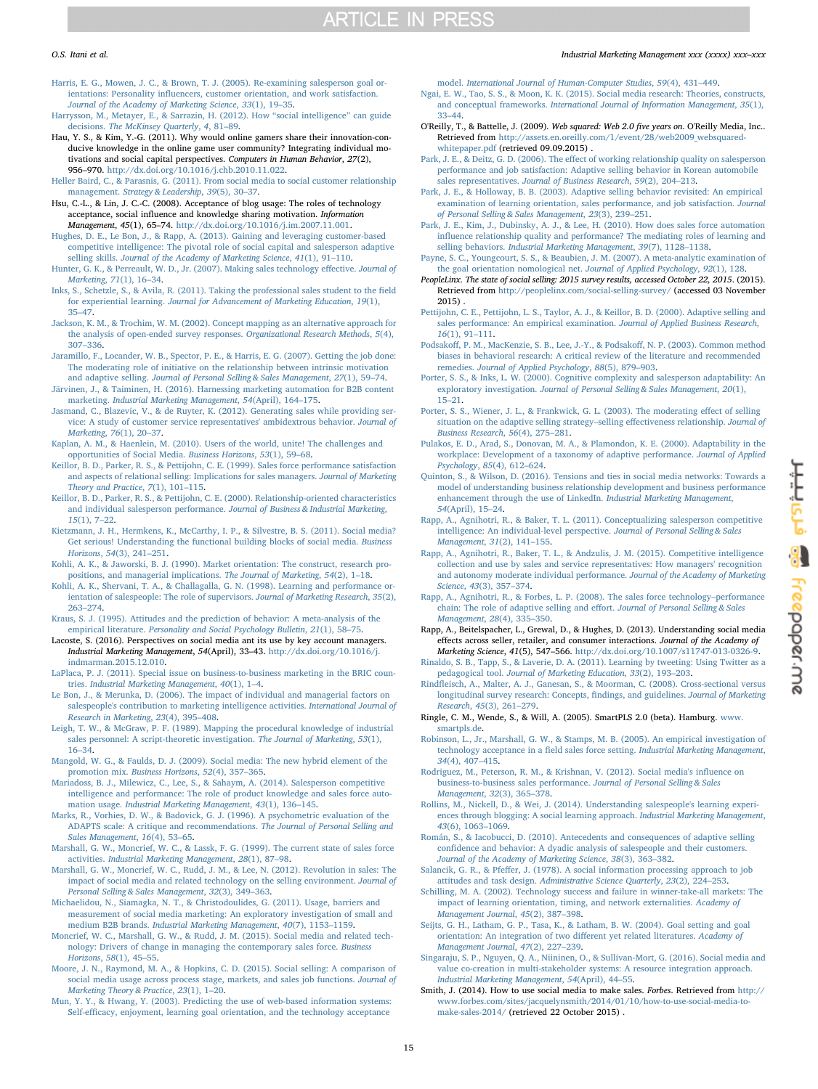<span id="page-14-23"></span>[Harris, E. G., Mowen, J. C., & Brown, T. J. \(2005\). Re-examining salesperson goal or](http://refhub.elsevier.com/S0019-8501(17)30482-0/rf0310)ientations: Personality infl[uencers, customer orientation, and work satisfaction.](http://refhub.elsevier.com/S0019-8501(17)30482-0/rf0310) [Journal of the Academy of Marketing Science](http://refhub.elsevier.com/S0019-8501(17)30482-0/rf0310), 33(1), 19–35.

<span id="page-14-31"></span>[Harrysson, M., Metayer, E., & Sarrazin, H. \(2012\). How](http://refhub.elsevier.com/S0019-8501(17)30482-0/rf0315) "social intelligence" can guide decisions. [The McKinsey Quarterly](http://refhub.elsevier.com/S0019-8501(17)30482-0/rf0315), 4, 81–89.

Hau, Y. S., & Kim, Y.-G. (2011). Why would online gamers share their innovation-conducive knowledge in the online game user community? Integrating individual motivations and social capital perspectives. Computers in Human Behavior, 27(2), 956–970. [http://dx.doi.org/10.1016/j.chb.2010.11.022.](http://dx.doi.org/10.1016/j.chb.2010.11.022)

<span id="page-14-1"></span>[Heller Baird, C., & Parasnis, G. \(2011\). From social media to social customer relationship](http://refhub.elsevier.com/S0019-8501(17)30482-0/rf0325) management. [Strategy & Leadership](http://refhub.elsevier.com/S0019-8501(17)30482-0/rf0325), 39(5), 30–37.

<span id="page-14-16"></span>Hsu, C.-L., & Lin, J. C.-C. (2008). Acceptance of blog usage: The roles of technology acceptance, social influence and knowledge sharing motivation. Information Management, 45(1), 65–74. [http://dx.doi.org/10.1016/j.im.2007.11.001.](http://dx.doi.org/10.1016/j.im.2007.11.001)

<span id="page-14-29"></span>[Hughes, D. E., Le Bon, J., & Rapp, A. \(2013\). Gaining and leveraging customer-based](http://refhub.elsevier.com/S0019-8501(17)30482-0/rf0335) [competitive intelligence: The pivotal role of social capital and salesperson adaptive](http://refhub.elsevier.com/S0019-8501(17)30482-0/rf0335) selling skills. [Journal of the Academy of Marketing Science](http://refhub.elsevier.com/S0019-8501(17)30482-0/rf0335), 41(1), 91-110.

<span id="page-14-36"></span>[Hunter, G. K., & Perreault, W. D., Jr. \(2007\). Making sales technology e](http://refhub.elsevier.com/S0019-8501(17)30482-0/rf0340)ffective. Journal of [Marketing](http://refhub.elsevier.com/S0019-8501(17)30482-0/rf0340), 71(1), 16–34.

- <span id="page-14-14"></span>[Inks, S., Schetzle, S., & Avila, R. \(2011\). Taking the professional sales student to the](http://refhub.elsevier.com/S0019-8501(17)30482-0/rf0345) field for experiential learning. [Journal for Advancement of Marketing Education](http://refhub.elsevier.com/S0019-8501(17)30482-0/rf0345), 19(1), 35–[47](http://refhub.elsevier.com/S0019-8501(17)30482-0/rf0345).
- <span id="page-14-17"></span>[Jackson, K. M., & Trochim, W. M. \(2002\). Concept mapping as an alternative approach for](http://refhub.elsevier.com/S0019-8501(17)30482-0/rf0350) [the analysis of open-ended survey responses.](http://refhub.elsevier.com/S0019-8501(17)30482-0/rf0350) Organizational Research Methods, 5(4), 307–[336](http://refhub.elsevier.com/S0019-8501(17)30482-0/rf0350).
- <span id="page-14-40"></span>[Jaramillo, F., Locander, W. B., Spector, P. E., & Harris, E. G. \(2007\). Getting the job done:](http://refhub.elsevier.com/S0019-8501(17)30482-0/rf0355) The [moderating role of initiative on the relationship between intrinsic motivation](http://refhub.elsevier.com/S0019-8501(17)30482-0/rf0355) and adaptive selling. [Journal of Personal Selling & Sales Management](http://refhub.elsevier.com/S0019-8501(17)30482-0/rf0355), 27(1), 59–74.

<span id="page-14-18"></span>[Järvinen, J., & Taiminen, H. \(2016\). Harnessing marketing automation for B2B content](http://refhub.elsevier.com/S0019-8501(17)30482-0/rf0360) marketing. [Industrial Marketing Management](http://refhub.elsevier.com/S0019-8501(17)30482-0/rf0360), 54(April), 164–175.

- [Jasmand, C., Blazevic, V., & de Ruyter, K. \(2012\). Generating sales while providing ser](http://refhub.elsevier.com/S0019-8501(17)30482-0/rf0365)[vice: A study of customer service representatives' ambidextrous behavior.](http://refhub.elsevier.com/S0019-8501(17)30482-0/rf0365) Journal of [Marketing](http://refhub.elsevier.com/S0019-8501(17)30482-0/rf0365), 76(1), 20–37.
- <span id="page-14-3"></span>[Kaplan, A. M., & Haenlein, M. \(2010\). Users of the world, unite! The challenges and](http://refhub.elsevier.com/S0019-8501(17)30482-0/rf0370) [opportunities of Social Media.](http://refhub.elsevier.com/S0019-8501(17)30482-0/rf0370) Business Horizons, 53(1), 59–68.
- <span id="page-14-41"></span>[Keillor, B. D., Parker, R. S., & Pettijohn, C. E. \(1999\). Sales force performance satisfaction](http://refhub.elsevier.com/S0019-8501(17)30482-0/rf0375) [and aspects of relational selling: Implications for sales managers.](http://refhub.elsevier.com/S0019-8501(17)30482-0/rf0375) Journal of Marketing [Theory and Practice](http://refhub.elsevier.com/S0019-8501(17)30482-0/rf0375), 7(1), 101–115.
- <span id="page-14-43"></span>[Keillor, B. D., Parker, R. S., & Pettijohn, C. E. \(2000\). Relationship-oriented characteristics](http://refhub.elsevier.com/S0019-8501(17)30482-0/rf0380) [and individual salesperson performance.](http://refhub.elsevier.com/S0019-8501(17)30482-0/rf0380) Journal of Business & Industrial Marketing, 15[\(1\), 7](http://refhub.elsevier.com/S0019-8501(17)30482-0/rf0380)–22.
- <span id="page-14-19"></span>[Kietzmann, J. H., Hermkens, K., McCarthy, I. P., & Silvestre, B. S. \(2011\). Social media?](http://refhub.elsevier.com/S0019-8501(17)30482-0/rf0385) [Get serious! Understanding the functional building blocks of social media.](http://refhub.elsevier.com/S0019-8501(17)30482-0/rf0385) Business [Horizons](http://refhub.elsevier.com/S0019-8501(17)30482-0/rf0385), 54(3), 241–251.
- <span id="page-14-28"></span>[Kohli, A. K., & Jaworski, B. J. \(1990\). Market orientation: The construct, research pro](http://refhub.elsevier.com/S0019-8501(17)30482-0/rf0390)[positions, and managerial implications.](http://refhub.elsevier.com/S0019-8501(17)30482-0/rf0390) The Journal of Marketing, 54(2), 1–18.
- <span id="page-14-46"></span>[Kohli, A. K., Shervani, T. A., & Challagalla, G. N. \(1998\). Learning and performance or](http://refhub.elsevier.com/S0019-8501(17)30482-0/rf0395)[ientation of salespeople: The role of supervisors.](http://refhub.elsevier.com/S0019-8501(17)30482-0/rf0395) Journal of Marketing Research, 35(2), 263–[274](http://refhub.elsevier.com/S0019-8501(17)30482-0/rf0395).
- [Kraus, S. J. \(1995\). Attitudes and the prediction of behavior: A meta-analysis of the](http://refhub.elsevier.com/S0019-8501(17)30482-0/rf0400) empirical literature. [Personality and Social Psychology Bulletin](http://refhub.elsevier.com/S0019-8501(17)30482-0/rf0400), 21(1), 58–75.

<span id="page-14-7"></span>Lacoste, S. (2016). Perspectives on social media ant its use by key account managers. Industrial Marketing Management, 54(April), 33–43. [http://dx.doi.org/10.1016/j.](http://dx.doi.org/10.1016/j.indmarman.2015.12.010) [indmarman.2015.12.010.](http://dx.doi.org/10.1016/j.indmarman.2015.12.010)

- <span id="page-14-45"></span>LaPlaca, [P. J. \(2011\). Special issue on business-to-business marketing in the BRIC coun](http://refhub.elsevier.com/S0019-8501(17)30482-0/rf0410)tries. [Industrial Marketing Management](http://refhub.elsevier.com/S0019-8501(17)30482-0/rf0410), 40(1), 1–4.
- <span id="page-14-47"></span>[Le Bon, J., & Merunka, D. \(2006\). The impact of individual and managerial factors on](http://refhub.elsevier.com/S0019-8501(17)30482-0/rf0415) [salespeople's contribution to marketing intelligence activities.](http://refhub.elsevier.com/S0019-8501(17)30482-0/rf0415) International Journal of [Research in Marketing](http://refhub.elsevier.com/S0019-8501(17)30482-0/rf0415), 23(4), 395–408.
- <span id="page-14-35"></span>[Leigh, T. W., & McGraw, P. F. \(1989\). Mapping the procedural knowledge of industrial](http://refhub.elsevier.com/S0019-8501(17)30482-0/rf0420) [sales personnel: A script-theoretic investigation.](http://refhub.elsevier.com/S0019-8501(17)30482-0/rf0420) The Journal of Marketing, 53(1), 16–[34](http://refhub.elsevier.com/S0019-8501(17)30482-0/rf0420).
- <span id="page-14-2"></span>[Mangold, W. G., & Faulds, D. J. \(2009\). Social media: The new hybrid element of the](http://refhub.elsevier.com/S0019-8501(17)30482-0/rf0425) promotion mix. [Business Horizons](http://refhub.elsevier.com/S0019-8501(17)30482-0/rf0425), 52(4), 357–365.

<span id="page-14-27"></span>[Mariadoss, B. J., Milewicz, C., Lee, S., & Sahaym, A. \(2014\). Salesperson competitive](http://refhub.elsevier.com/S0019-8501(17)30482-0/rf0430) [intelligence and performance: The role of product knowledge and sales force auto](http://refhub.elsevier.com/S0019-8501(17)30482-0/rf0430)mation usage. [Industrial Marketing Management](http://refhub.elsevier.com/S0019-8501(17)30482-0/rf0430), 43(1), 136–145.

<span id="page-14-34"></span>[Marks, R., Vorhies, D. W., & Badovick, G. J. \(1996\). A psychometric evaluation of the](http://refhub.elsevier.com/S0019-8501(17)30482-0/rf0435) [ADAPTS scale: A critique and recommendations.](http://refhub.elsevier.com/S0019-8501(17)30482-0/rf0435) The Journal of Personal Selling and [Sales Management](http://refhub.elsevier.com/S0019-8501(17)30482-0/rf0435), 16(4), 53–65.

[Marshall, G. W., Moncrief, W. C., & Lassk, F. G. \(1999\). The current state of sales force](http://refhub.elsevier.com/S0019-8501(17)30482-0/rf0440) activities. [Industrial Marketing Management](http://refhub.elsevier.com/S0019-8501(17)30482-0/rf0440), 28(1), 87–98.

<span id="page-14-8"></span>[Marshall, G. W., Moncrief, W. C., Rudd, J. M., & Lee, N. \(2012\). Revolution in sales: The](http://refhub.elsevier.com/S0019-8501(17)30482-0/rf0445) [impact of social media and related technology on the selling environment.](http://refhub.elsevier.com/S0019-8501(17)30482-0/rf0445) Journal of [Personal Selling & Sales Management](http://refhub.elsevier.com/S0019-8501(17)30482-0/rf0445), 32(3), 349–363.

<span id="page-14-11"></span>[Michaelidou, N., Siamagka, N. T., & Christodoulides, G. \(2011\). Usage, barriers and](http://refhub.elsevier.com/S0019-8501(17)30482-0/rf0450) [measurement of social media marketing: An exploratory investigation of small and](http://refhub.elsevier.com/S0019-8501(17)30482-0/rf0450) medium B2B brands. [Industrial Marketing Management](http://refhub.elsevier.com/S0019-8501(17)30482-0/rf0450), 40(7), 1153–1159.

<span id="page-14-6"></span>[Moncrief, W. C., Marshall, G. W., & Rudd, J. M. \(2015\). Social media and related tech](http://refhub.elsevier.com/S0019-8501(17)30482-0/rf0455)[nology: Drivers of change in managing the contemporary sales force.](http://refhub.elsevier.com/S0019-8501(17)30482-0/rf0455) Business [Horizons](http://refhub.elsevier.com/S0019-8501(17)30482-0/rf0455), 58(1), 45–55.

<span id="page-14-15"></span>[Moore, J. N., Raymond, M. A., & Hopkins, C. D. \(2015\). Social selling: A comparison of](http://refhub.elsevier.com/S0019-8501(17)30482-0/rf0460) [social media usage across process stage, markets, and sales job functions.](http://refhub.elsevier.com/S0019-8501(17)30482-0/rf0460) Journal of [Marketing Theory & Practice](http://refhub.elsevier.com/S0019-8501(17)30482-0/rf0460), 23(1), 1–20.

<span id="page-14-13"></span>[Mun, Y. Y., & Hwang, Y. \(2003\). Predicting the use of web-based information systems:](http://refhub.elsevier.com/S0019-8501(17)30482-0/rf0465) Self-effi[cacy, enjoyment, learning goal orientation, and the technology acceptance](http://refhub.elsevier.com/S0019-8501(17)30482-0/rf0465)

## O.S. Itani et al. *Industrial Marketing Management xxx (xxxx) xxx–xxx*

model. [International Journal of Human-Computer Studies](http://refhub.elsevier.com/S0019-8501(17)30482-0/rf0465), 59(4), 431–449.

- <span id="page-14-21"></span>[Ngai, E. W., Tao, S. S., & Moon, K. K. \(2015\). Social media research: Theories, constructs,](http://refhub.elsevier.com/S0019-8501(17)30482-0/rf0470) and conceptual frameworks. [International Journal of Information Management](http://refhub.elsevier.com/S0019-8501(17)30482-0/rf0470), 35(1), 33–[44](http://refhub.elsevier.com/S0019-8501(17)30482-0/rf0470).
- <span id="page-14-0"></span>O'Reilly, T., & Battelle, J. (2009). Web squared: Web 2.0 five years on. O'Reilly Media, Inc.. Retrieved from [http://assets.en.oreilly.com/1/event/28/web2009\\_websquared](http://assets.en.oreilly.com/1/event/28/web2009_websquared-whitepaper.pdf)[whitepaper.pdf](http://assets.en.oreilly.com/1/event/28/web2009_websquared-whitepaper.pdf) (retrieved 09.09.2015) .
- <span id="page-14-42"></span>Park, J. E., & Deitz, G. D. (2006). The eff[ect of working relationship quality on salesperson](http://refhub.elsevier.com/S0019-8501(17)30482-0/rf0480) [performance and job satisfaction: Adaptive selling behavior in Korean automobile](http://refhub.elsevier.com/S0019-8501(17)30482-0/rf0480) sales representatives. [Journal of Business Research](http://refhub.elsevier.com/S0019-8501(17)30482-0/rf0480), 59(2), 204-213.
- <span id="page-14-49"></span>[Park, J. E., & Holloway, B. B. \(2003\). Adaptive selling behavior revisited: An empirical](http://refhub.elsevier.com/S0019-8501(17)30482-0/rf0485) [examination of learning orientation, sales performance, and job satisfaction.](http://refhub.elsevier.com/S0019-8501(17)30482-0/rf0485) Journal [of Personal Selling & Sales Management](http://refhub.elsevier.com/S0019-8501(17)30482-0/rf0485), 23(3), 239–251.
- <span id="page-14-33"></span>[Park, J. E., Kim, J., Dubinsky, A. J., & Lee, H. \(2010\). How does sales force automation](http://refhub.elsevier.com/S0019-8501(17)30482-0/rf0490) infl[uence relationship quality and performance? The mediating roles of learning and](http://refhub.elsevier.com/S0019-8501(17)30482-0/rf0490) selling behaviors. [Industrial Marketing Management](http://refhub.elsevier.com/S0019-8501(17)30482-0/rf0490), 39(7), 1128–1138.
- <span id="page-14-24"></span>[Payne, S. C., Youngcourt, S. S., & Beaubien, J. M. \(2007\). A meta-analytic examination of](http://refhub.elsevier.com/S0019-8501(17)30482-0/rf0495) [the goal orientation nomological net.](http://refhub.elsevier.com/S0019-8501(17)30482-0/rf0495) Journal of Applied Psychology, 92(1), 128.
- <span id="page-14-5"></span>PeopleLinx. The state of social selling: 2015 survey results, accessed October 22, 2015. (2015). Retrieved from <http://peoplelinx.com/social-selling-survey/> (accessed 03 November 2015) .
- [Pettijohn, C. E., Pettijohn, L. S., Taylor, A. J., & Keillor, B. D. \(2000\). Adaptive selling and](http://refhub.elsevier.com/S0019-8501(17)30482-0/rf0505) [sales performance: An empirical examination.](http://refhub.elsevier.com/S0019-8501(17)30482-0/rf0505) Journal of Applied Business Research, 16[\(1\), 91](http://refhub.elsevier.com/S0019-8501(17)30482-0/rf0505)–111.
- <span id="page-14-53"></span>Podsakoff[, P. M., MacKenzie, S. B., Lee, J.-Y., & Podsako](http://refhub.elsevier.com/S0019-8501(17)30482-0/rf0510)ff, N. P. (2003). Common method [biases in behavioral research: A critical review of the literature and recommended](http://refhub.elsevier.com/S0019-8501(17)30482-0/rf0510) remedies. Journal [of Applied Psychology](http://refhub.elsevier.com/S0019-8501(17)30482-0/rf0510), 88(5), 879–903.
- <span id="page-14-50"></span>[Porter, S. S., & Inks, L. W. \(2000\). Cognitive complexity and salesperson adaptability: An](http://refhub.elsevier.com/S0019-8501(17)30482-0/rf0515) exploratory investigation. [Journal of Personal Selling & Sales Management](http://refhub.elsevier.com/S0019-8501(17)30482-0/rf0515), 20(1), 15–[21](http://refhub.elsevier.com/S0019-8501(17)30482-0/rf0515).
- <span id="page-14-44"></span>[Porter, S. S., Wiener, J. L., & Frankwick, G. L. \(2003\). The moderating e](http://refhub.elsevier.com/S0019-8501(17)30482-0/rf0520)ffect of selling [situation on the adaptive selling strategy](http://refhub.elsevier.com/S0019-8501(17)30482-0/rf0520)–selling effectiveness relationship. Journal of [Business Research](http://refhub.elsevier.com/S0019-8501(17)30482-0/rf0520), 56(4), 275–281.
- [Pulakos, E. D., Arad, S., Donovan, M. A., & Plamondon, K. E. \(2000\). Adaptability in the](http://refhub.elsevier.com/S0019-8501(17)30482-0/rf0525) [workplace: Development of a taxonomy of adaptive performance.](http://refhub.elsevier.com/S0019-8501(17)30482-0/rf0525) Journal of Applied [Psychology](http://refhub.elsevier.com/S0019-8501(17)30482-0/rf0525), 85(4), 612–624.
- <span id="page-14-4"></span>[Quinton, S., & Wilson, D. \(2016\). Tensions and ties in social media networks: Towards a](http://refhub.elsevier.com/S0019-8501(17)30482-0/rf0530) [model of understanding business relationship development and business performance](http://refhub.elsevier.com/S0019-8501(17)30482-0/rf0530) [enhancement through the use of LinkedIn.](http://refhub.elsevier.com/S0019-8501(17)30482-0/rf0530) Industrial Marketing Management, 54[\(April\), 15](http://refhub.elsevier.com/S0019-8501(17)30482-0/rf0530)–24.
- <span id="page-14-32"></span>[Rapp, A., Agnihotri, R., & Baker, T. L. \(2011\). Conceptualizing salesperson competitive](http://refhub.elsevier.com/S0019-8501(17)30482-0/rf0535) [intelligence: An individual-level perspective.](http://refhub.elsevier.com/S0019-8501(17)30482-0/rf0535) Journal of Personal Selling & Sales [Management](http://refhub.elsevier.com/S0019-8501(17)30482-0/rf0535), 31(2), 141–155.
- <span id="page-14-30"></span>[Rapp, A., Agnihotri, R., Baker, T. L., & Andzulis, J. M. \(2015\). Competitive intelligence](http://refhub.elsevier.com/S0019-8501(17)30482-0/rf0540) [collection and use by sales and service representatives: How managers' recognition](http://refhub.elsevier.com/S0019-8501(17)30482-0/rf0540) [and autonomy moderate individual performance.](http://refhub.elsevier.com/S0019-8501(17)30482-0/rf0540) Journal of the Academy of Marketing Science, 43[\(3\), 357](http://refhub.elsevier.com/S0019-8501(17)30482-0/rf0540)–374.
- <span id="page-14-38"></span>[Rapp, A., Agnihotri, R., & Forbes, L. P. \(2008\). The sales force technology](http://refhub.elsevier.com/S0019-8501(17)30482-0/rf0545)–performance [chain: The role of adaptive selling and e](http://refhub.elsevier.com/S0019-8501(17)30482-0/rf0545)ffort. Journal of Personal Selling & Sales [Management](http://refhub.elsevier.com/S0019-8501(17)30482-0/rf0545), 28(4), 335–350.
- <span id="page-14-9"></span>Rapp, A., Beitelspacher, L., Grewal, D., & Hughes, D. (2013). Understanding social media effects across seller, retailer, and consumer interactions. Journal of the Academy of Marketing Science, 41(5), 547–566. <http://dx.doi.org/10.1007/s11747-013-0326-9>.
- <span id="page-14-51"></span>Rinaldo, [S. B., Tapp, S., & Laverie, D. A. \(2011\). Learning by tweeting: Using Twitter as a](http://refhub.elsevier.com/S0019-8501(17)30482-0/rf0555) pedagogical tool. [Journal of Marketing Education](http://refhub.elsevier.com/S0019-8501(17)30482-0/rf0555), 33(2), 193–203.
- <span id="page-14-52"></span>Rindfl[eisch, A., Malter, A. J., Ganesan, S., & Moorman, C. \(2008\). Cross-sectional versus](http://refhub.elsevier.com/S0019-8501(17)30482-0/rf0560) [longitudinal survey research: Concepts,](http://refhub.elsevier.com/S0019-8501(17)30482-0/rf0560) findings, and guidelines. Journal of Marketing [Research](http://refhub.elsevier.com/S0019-8501(17)30482-0/rf0560), 45(3), 261–279.

<span id="page-14-48"></span>Ringle, C. M., Wende, S., & Will, A. (2005). SmartPLS 2.0 (beta). Hamburg. [www.](http://www.smartpls.de/) [smartpls.de.](http://www.smartpls.de/)

- <span id="page-14-37"></span>[Robinson, L., Jr., Marshall, G. W., & Stamps, M. B. \(2005\). An empirical investigation of](http://refhub.elsevier.com/S0019-8501(17)30482-0/rf0570) technology acceptance in a field sales force setting. [Industrial Marketing Management](http://refhub.elsevier.com/S0019-8501(17)30482-0/rf0570), 34[\(4\), 407](http://refhub.elsevier.com/S0019-8501(17)30482-0/rf0570)–415.
- <span id="page-14-20"></span>[Rodriguez, M., Peterson, R. M., & Krishnan, V. \(2012\). Social media's in](http://refhub.elsevier.com/S0019-8501(17)30482-0/rf0575)fluence on [business-to-business sales performance.](http://refhub.elsevier.com/S0019-8501(17)30482-0/rf0575) Journal of Personal Selling & Sales [Management](http://refhub.elsevier.com/S0019-8501(17)30482-0/rf0575), 32(3), 365–378.
- <span id="page-14-12"></span>[Rollins, M., Nickell, D., & Wei, J. \(2014\). Understanding salespeople's learning experi](http://refhub.elsevier.com/S0019-8501(17)30482-0/rf0580)[ences through blogging: A social learning approach.](http://refhub.elsevier.com/S0019-8501(17)30482-0/rf0580) Industrial Marketing Management, 43[\(6\), 1063](http://refhub.elsevier.com/S0019-8501(17)30482-0/rf0580)–1069.
- <span id="page-14-39"></span>[Román, S., & Iacobucci, D. \(2010\). Antecedents and consequences of adaptive selling](http://refhub.elsevier.com/S0019-8501(17)30482-0/rf0585) confi[dence and behavior: A dyadic analysis of salespeople and their customers.](http://refhub.elsevier.com/S0019-8501(17)30482-0/rf0585) [Journal of the Academy of Marketing Science](http://refhub.elsevier.com/S0019-8501(17)30482-0/rf0585), 38(3), 363–382.
- <span id="page-14-22"></span>Salancik, G. R., & Pfeff[er, J. \(1978\). A social information processing approach to job](http://refhub.elsevier.com/S0019-8501(17)30482-0/rf0590) attitudes and task design. [Administrative Science Quarterly](http://refhub.elsevier.com/S0019-8501(17)30482-0/rf0590), 23(2), 224–253.
- <span id="page-14-25"></span>[Schilling, M. A. \(2002\). Technology success and failure in winner-take-all markets: The](http://refhub.elsevier.com/S0019-8501(17)30482-0/rf0595) [impact of learning orientation, timing, and network externalities.](http://refhub.elsevier.com/S0019-8501(17)30482-0/rf0595) Academy of [Management Journal](http://refhub.elsevier.com/S0019-8501(17)30482-0/rf0595), 45(2), 387–398.
- <span id="page-14-26"></span>[Seijts, G. H., Latham, G. P., Tasa, K., & Latham, B. W. \(2004\). Goal setting and goal](http://refhub.elsevier.com/S0019-8501(17)30482-0/rf0600) [orientation: An integration of two di](http://refhub.elsevier.com/S0019-8501(17)30482-0/rf0600)fferent yet related literatures. Academy of [Management Journal](http://refhub.elsevier.com/S0019-8501(17)30482-0/rf0600), 47(2), 227–239.
- <span id="page-14-10"></span>Singaraju, [S. P., Nguyen, Q. A., Niininen, O., & Sullivan-Mort, G. \(2016\). Social media and](http://refhub.elsevier.com/S0019-8501(17)30482-0/rf0605) [value co-creation in multi-stakeholder systems: A resource integration approach.](http://refhub.elsevier.com/S0019-8501(17)30482-0/rf0605) [Industrial Marketing Management](http://refhub.elsevier.com/S0019-8501(17)30482-0/rf0605), 54(April), 44–55.
- Smith, J. (2014). How to use social media to make sales. Forbes. Retrieved from [http://](http://www.forbes.com/sites/jacquelynsmith/2014/01/10/how-to-use-social-media-to-make-sales-2014/) [www.forbes.com/sites/jacquelynsmith/2014/01/10/how-to-use-social-media-to](http://www.forbes.com/sites/jacquelynsmith/2014/01/10/how-to-use-social-media-to-make-sales-2014/)[make-sales-2014/](http://www.forbes.com/sites/jacquelynsmith/2014/01/10/how-to-use-social-media-to-make-sales-2014/) (retrieved 22 October 2015) .